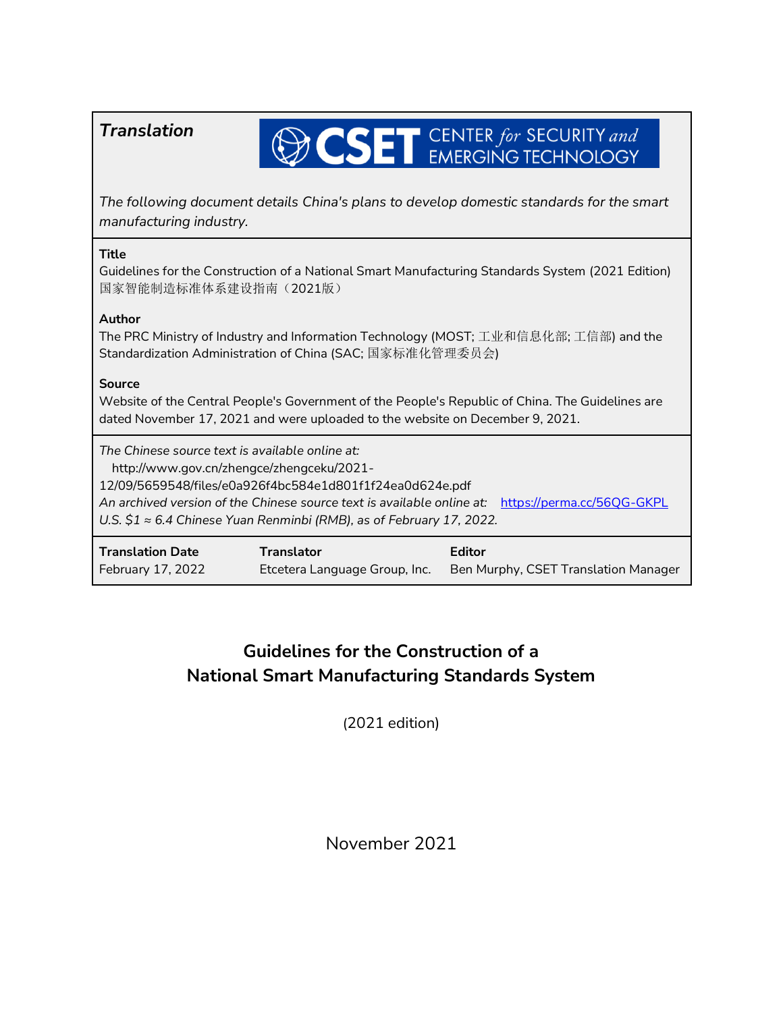| Translation                                                                                                                                                                                                                                                                                                                                     |                                                    | <b>CSET</b> CENTER for SECURITY and            |  |
|-------------------------------------------------------------------------------------------------------------------------------------------------------------------------------------------------------------------------------------------------------------------------------------------------------------------------------------------------|----------------------------------------------------|------------------------------------------------|--|
| The following document details China's plans to develop domestic standards for the smart<br>manufacturing industry.                                                                                                                                                                                                                             |                                                    |                                                |  |
| <b>Title</b><br>Guidelines for the Construction of a National Smart Manufacturing Standards System (2021 Edition)<br>国家智能制造标准体系建设指南(2021版)                                                                                                                                                                                                      |                                                    |                                                |  |
| Author<br>The PRC Ministry of Industry and Information Technology (MOST; 工业和信息化部; 工信部) and the<br>Standardization Administration of China (SAC; 国家标准化管理委员会)                                                                                                                                                                                     |                                                    |                                                |  |
| <b>Source</b><br>Website of the Central People's Government of the People's Republic of China. The Guidelines are<br>dated November 17, 2021 and were uploaded to the website on December 9, 2021.                                                                                                                                              |                                                    |                                                |  |
| The Chinese source text is available online at:<br>http://www.gov.cn/zhengce/zhengceku/2021-<br>12/09/5659548/files/e0a926f4bc584e1d801f1f24ea0d624e.pdf<br>An archived version of the Chinese source text is available online at:<br>https://perma.cc/56QG-GKPL<br>U.S. $$1 \approx 6.4$ Chinese Yuan Renminbi (RMB), as of February 17, 2022. |                                                    |                                                |  |
| <b>Translation Date</b><br>February 17, 2022                                                                                                                                                                                                                                                                                                    | <b>Translator</b><br>Etcetera Language Group, Inc. | Editor<br>Ben Murphy, CSET Translation Manager |  |

# **Guidelines for the Construction of a National Smart Manufacturing Standards System**

(2021 edition)

November 2021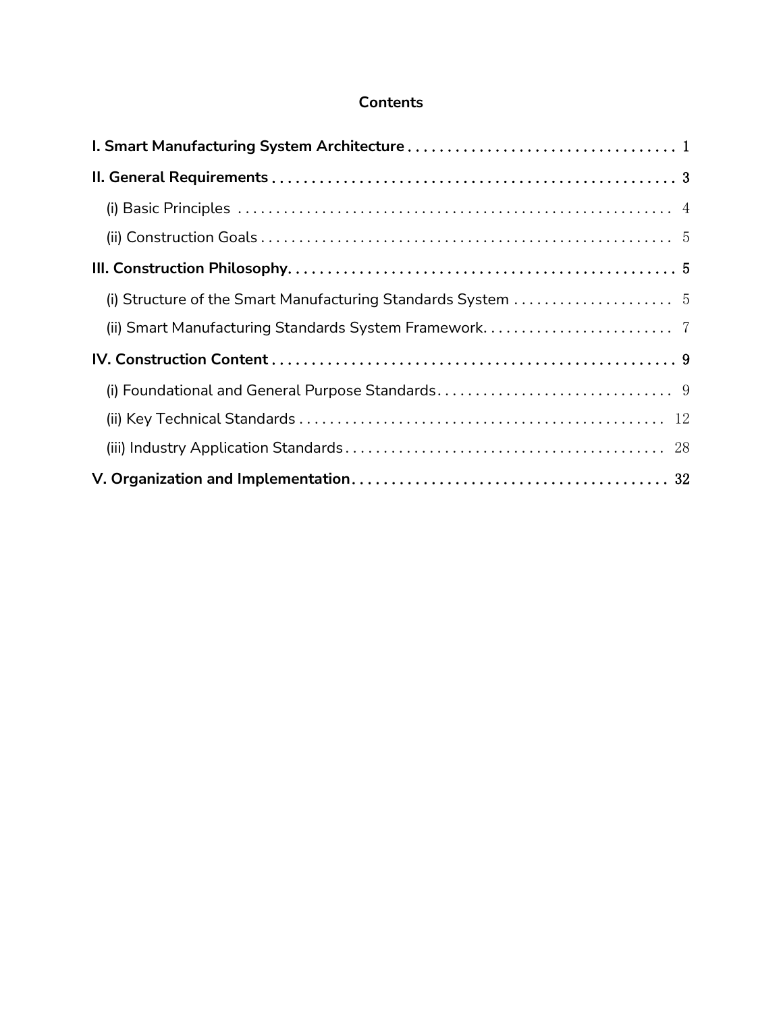### **Contents**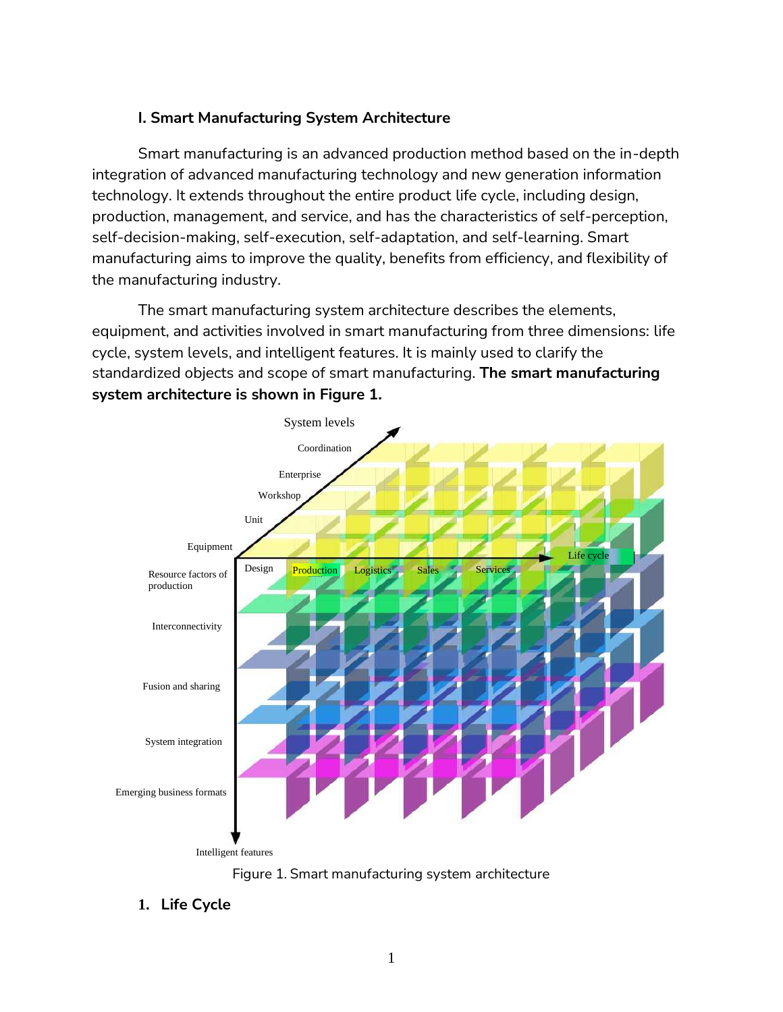### <span id="page-2-0"></span>**I. Smart Manufacturing System Architecture**

Smart manufacturing is an advanced production method based on the in-depth integration of advanced manufacturing technology and new generation information technology. It extends throughout the entire product life cycle, including design, production, management, and service, and has the characteristics of self-perception, self-decision-making, self-execution, self-adaptation, and self-learning. Smart manufacturing aims to improve the quality, benefits from efficiency, and flexibility of the manufacturing industry.

The smart manufacturing system architecture describes the elements, equipment, and activities involved in smart manufacturing from three dimensions: life cycle, system levels, and intelligent features. It is mainly used to clarify the standardized objects and scope of smart manufacturing. **The smart manufacturing system architecture is shown in Figure 1.**





**1. Life Cycle**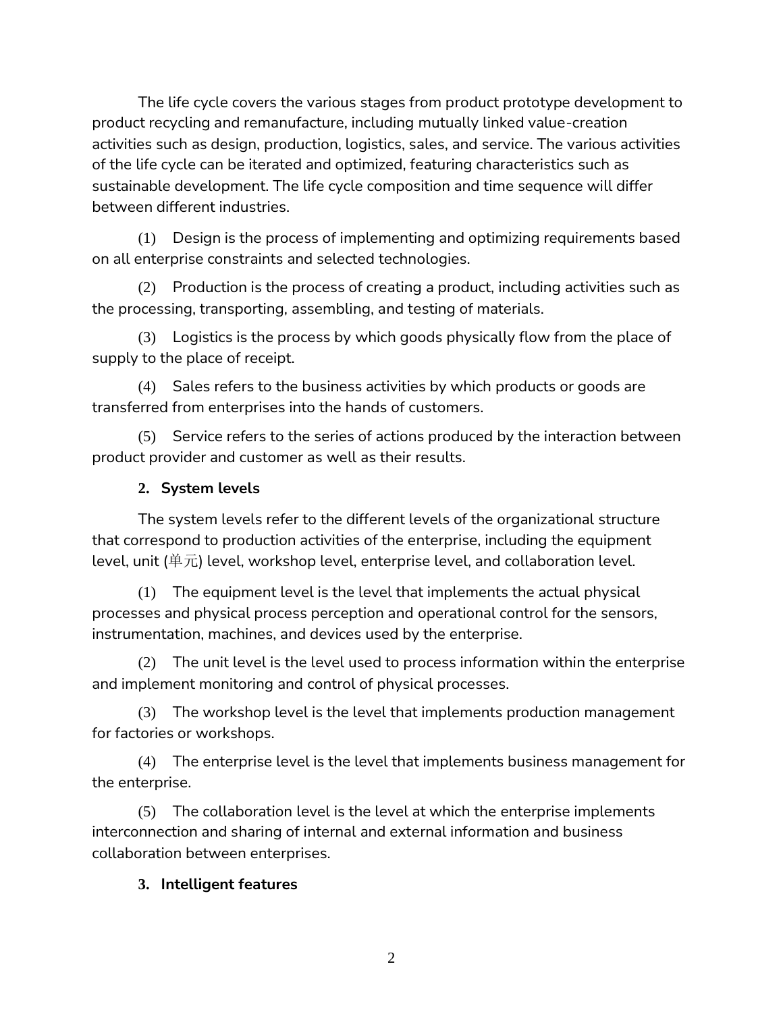The life cycle covers the various stages from product prototype development to product recycling and remanufacture, including mutually linked value-creation activities such as design, production, logistics, sales, and service. The various activities of the life cycle can be iterated and optimized, featuring characteristics such as sustainable development. The life cycle composition and time sequence will differ between different industries.

(1) Design is the process of implementing and optimizing requirements based on all enterprise constraints and selected technologies.

(2) Production is the process of creating a product, including activities such as the processing, transporting, assembling, and testing of materials.

(3) Logistics is the process by which goods physically flow from the place of supply to the place of receipt.

(4) Sales refers to the business activities by which products or goods are transferred from enterprises into the hands of customers.

(5) Service refers to the series of actions produced by the interaction between product provider and customer as well as their results.

## **2. System levels**

The system levels refer to the different levels of the organizational structure that correspond to production activities of the enterprise, including the equipment level, unit (单元) level, workshop level, enterprise level, and collaboration level.

(1) The equipment level is the level that implements the actual physical processes and physical process perception and operational control for the sensors, instrumentation, machines, and devices used by the enterprise.

(2) The unit level is the level used to process information within the enterprise and implement monitoring and control of physical processes.

(3) The workshop level is the level that implements production management for factories or workshops.

(4) The enterprise level is the level that implements business management for the enterprise.

(5) The collaboration level is the level at which the enterprise implements interconnection and sharing of internal and external information and business collaboration between enterprises.

### **3. Intelligent features**

2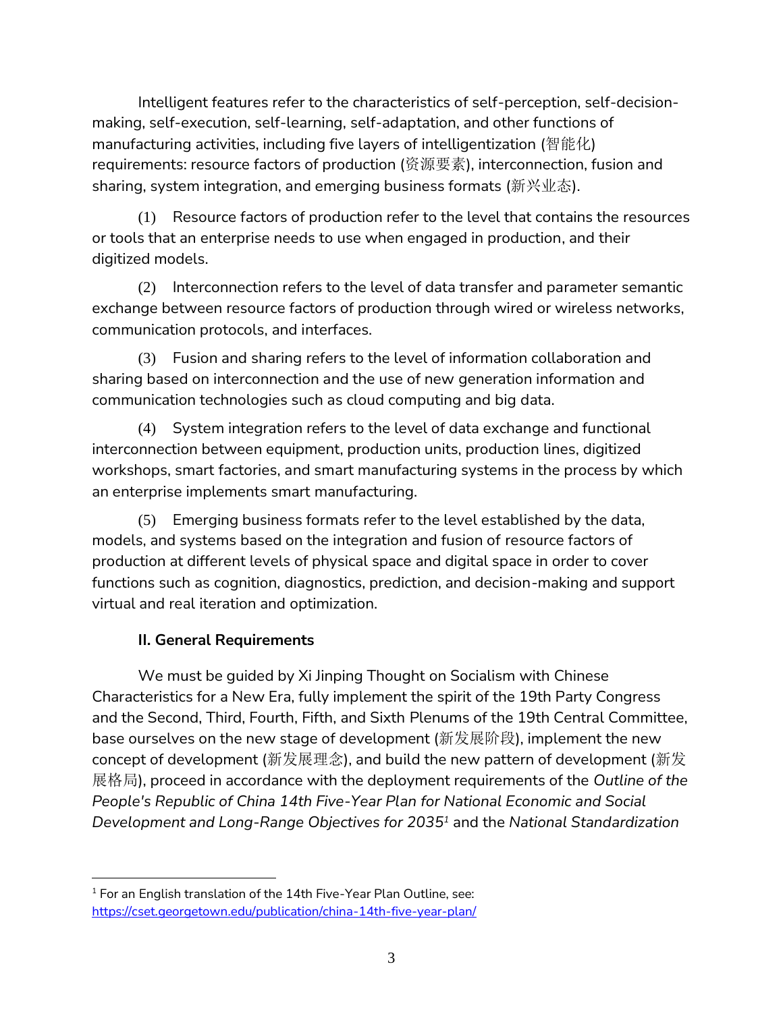Intelligent features refer to the characteristics of self-perception, self-decisionmaking, self-execution, self-learning, self-adaptation, and other functions of manufacturing activities, including five layers of intelligentization (智能化) requirements: resource factors of production (资源要素), interconnection, fusion and sharing, system integration, and emerging business formats (新兴业态).

(1) Resource factors of production refer to the level that contains the resources or tools that an enterprise needs to use when engaged in production, and their digitized models.

(2) Interconnection refers to the level of data transfer and parameter semantic exchange between resource factors of production through wired or wireless networks, communication protocols, and interfaces.

(3) Fusion and sharing refers to the level of information collaboration and sharing based on interconnection and the use of new generation information and communication technologies such as cloud computing and big data.

(4) System integration refers to the level of data exchange and functional interconnection between equipment, production units, production lines, digitized workshops, smart factories, and smart manufacturing systems in the process by which an enterprise implements smart manufacturing.

(5) Emerging business formats refer to the level established by the data, models, and systems based on the integration and fusion of resource factors of production at different levels of physical space and digital space in order to cover functions such as cognition, diagnostics, prediction, and decision-making and support virtual and real iteration and optimization.

# **II. General Requirements**

<span id="page-4-0"></span>We must be guided by Xi Jinping Thought on Socialism with Chinese Characteristics for a New Era, fully implement the spirit of the 19th Party Congress and the Second, Third, Fourth, Fifth, and Sixth Plenums of the 19th Central Committee, base ourselves on the new stage of development (新发展阶段), implement the new concept of development (新发展理念), and build the new pattern of development (新发 展格局), proceed in accordance with the deployment requirements of the *Outline of the People's Republic of China 14th Five-Year Plan for National Economic and Social Development and Long-Range Objectives for 2035<sup>1</sup>* and the *National Standardization* 

<sup>&</sup>lt;sup>1</sup> For an English translation of the 14th Five-Year Plan Outline, see: <https://cset.georgetown.edu/publication/china-14th-five-year-plan/>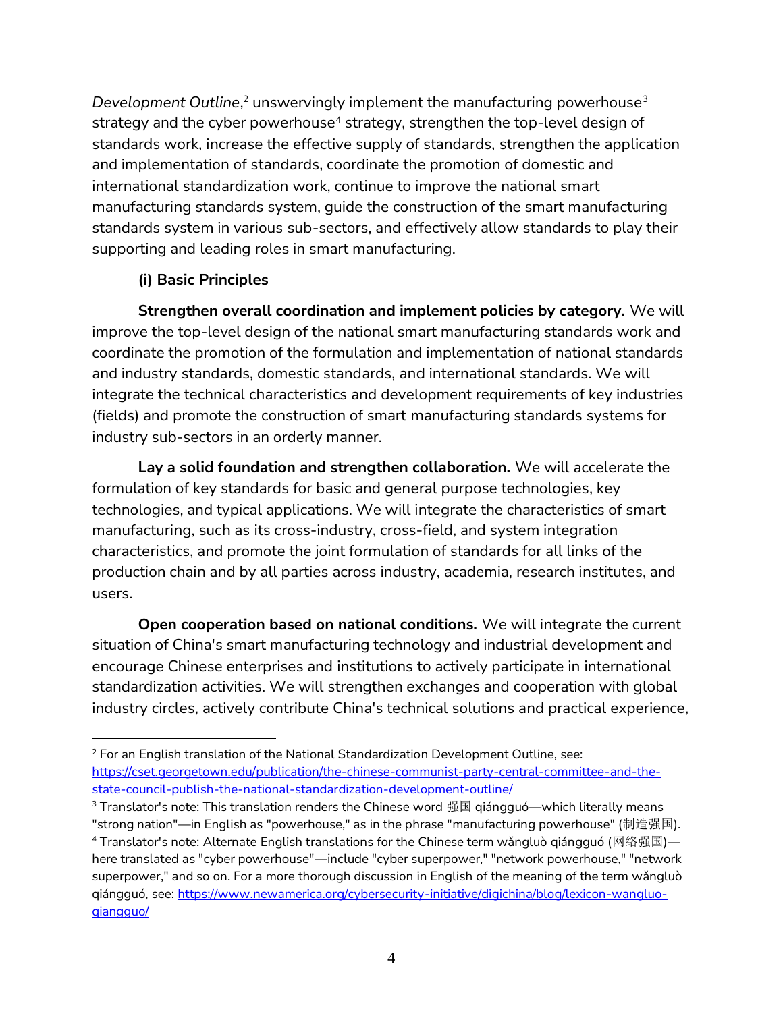Development Outline,<sup>2</sup> unswervingly implement the manufacturing powerhouse<sup>3</sup> strategy and the cyber powerhouse<sup>4</sup> strategy, strengthen the top-level design of standards work, increase the effective supply of standards, strengthen the application and implementation of standards, coordinate the promotion of domestic and international standardization work, continue to improve the national smart manufacturing standards system, guide the construction of the smart manufacturing standards system in various sub-sectors, and effectively allow standards to play their supporting and leading roles in smart manufacturing.

# **(i) Basic Principles**

<span id="page-5-0"></span>**Strengthen overall coordination and implement policies by category.** We will improve the top-level design of the national smart manufacturing standards work and coordinate the promotion of the formulation and implementation of national standards and industry standards, domestic standards, and international standards. We will integrate the technical characteristics and development requirements of key industries (fields) and promote the construction of smart manufacturing standards systems for industry sub-sectors in an orderly manner.

**Lay a solid foundation and strengthen collaboration.** We will accelerate the formulation of key standards for basic and general purpose technologies, key technologies, and typical applications. We will integrate the characteristics of smart manufacturing, such as its cross-industry, cross-field, and system integration characteristics, and promote the joint formulation of standards for all links of the production chain and by all parties across industry, academia, research institutes, and users.

**Open cooperation based on national conditions.** We will integrate the current situation of China's smart manufacturing technology and industrial development and encourage Chinese enterprises and institutions to actively participate in international standardization activities. We will strengthen exchanges and cooperation with global industry circles, actively contribute China's technical solutions and practical experience,

<sup>&</sup>lt;sup>2</sup> For an English translation of the National Standardization Development Outline, see: [https://cset.georgetown.edu/publication/the-chinese-communist-party-central-committee-and-the](https://cset.georgetown.edu/publication/the-chinese-communist-party-central-committee-and-the-state-council-publish-the-national-standardization-development-outline/)[state-council-publish-the-national-standardization-development-outline/](https://cset.georgetown.edu/publication/the-chinese-communist-party-central-committee-and-the-state-council-publish-the-national-standardization-development-outline/)

 $3$  Translator's note: This translation renders the Chinese word 强国 qiángguó—which literally means

<sup>&</sup>quot;strong nation"—in English as "powerhouse," as in the phrase "manufacturing powerhouse" (制造强国). <sup>4</sup> Translator's note: Alternate English translations for the Chinese term wǎngluò qiángguó (网络强国) here translated as "cyber powerhouse"—include "cyber superpower," "network powerhouse," "network superpower," and so on. For a more thorough discussion in English of the meaning of the term wǎngluò qiángguó, see: [https://www.newamerica.org/cybersecurity-initiative/digichina/blog/lexicon-wangluo](https://www.newamerica.org/cybersecurity-initiative/digichina/blog/lexicon-wangluo-qiangguo/)[qiangguo/](https://www.newamerica.org/cybersecurity-initiative/digichina/blog/lexicon-wangluo-qiangguo/)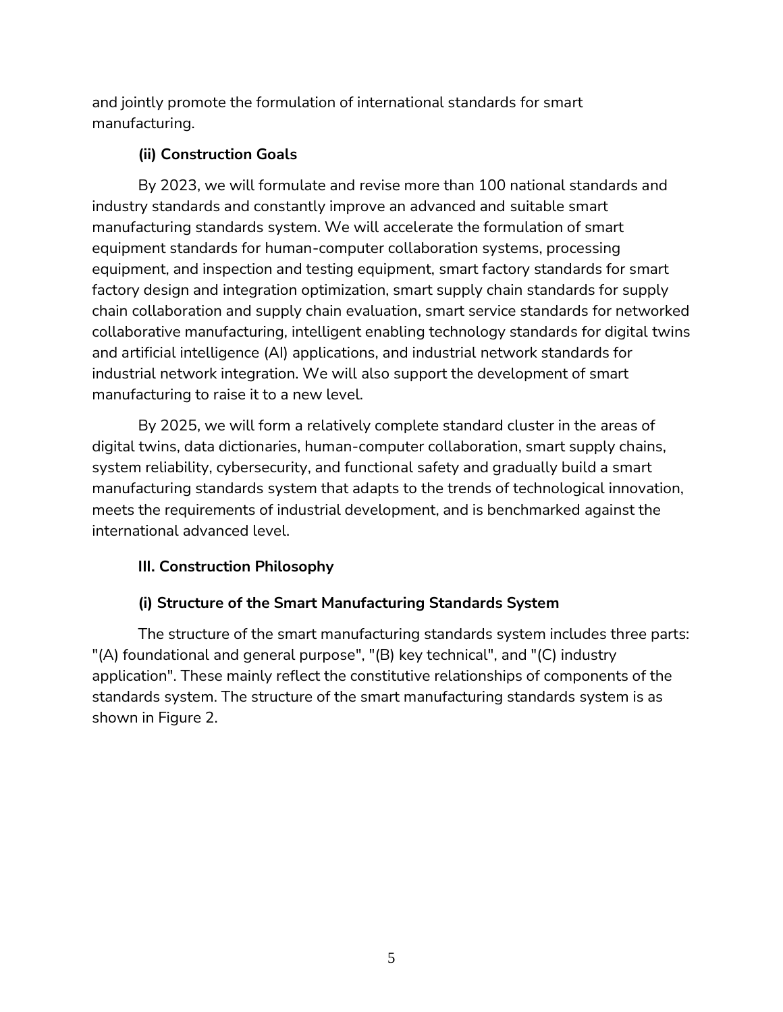and jointly promote the formulation of international standards for smart manufacturing.

# **(ii) Construction Goals**

<span id="page-6-0"></span>By 2023, we will formulate and revise more than 100 national standards and industry standards and constantly improve an advanced and suitable smart manufacturing standards system. We will accelerate the formulation of smart equipment standards for human-computer collaboration systems, processing equipment, and inspection and testing equipment, smart factory standards for smart factory design and integration optimization, smart supply chain standards for supply chain collaboration and supply chain evaluation, smart service standards for networked collaborative manufacturing, intelligent enabling technology standards for digital twins and artificial intelligence (AI) applications, and industrial network standards for industrial network integration. We will also support the development of smart manufacturing to raise it to a new level.

By 2025, we will form a relatively complete standard cluster in the areas of digital twins, data dictionaries, human-computer collaboration, smart supply chains, system reliability, cybersecurity, and functional safety and gradually build a smart manufacturing standards system that adapts to the trends of technological innovation, meets the requirements of industrial development, and is benchmarked against the international advanced level.

# <span id="page-6-1"></span>**III. Construction Philosophy**

# **(i) Structure of the Smart Manufacturing Standards System**

<span id="page-6-2"></span>The structure of the smart manufacturing standards system includes three parts: "(A) foundational and general purpose", "(B) key technical", and "(C) industry application". These mainly reflect the constitutive relationships of components of the standards system. The structure of the smart manufacturing standards system is as shown in Figure 2.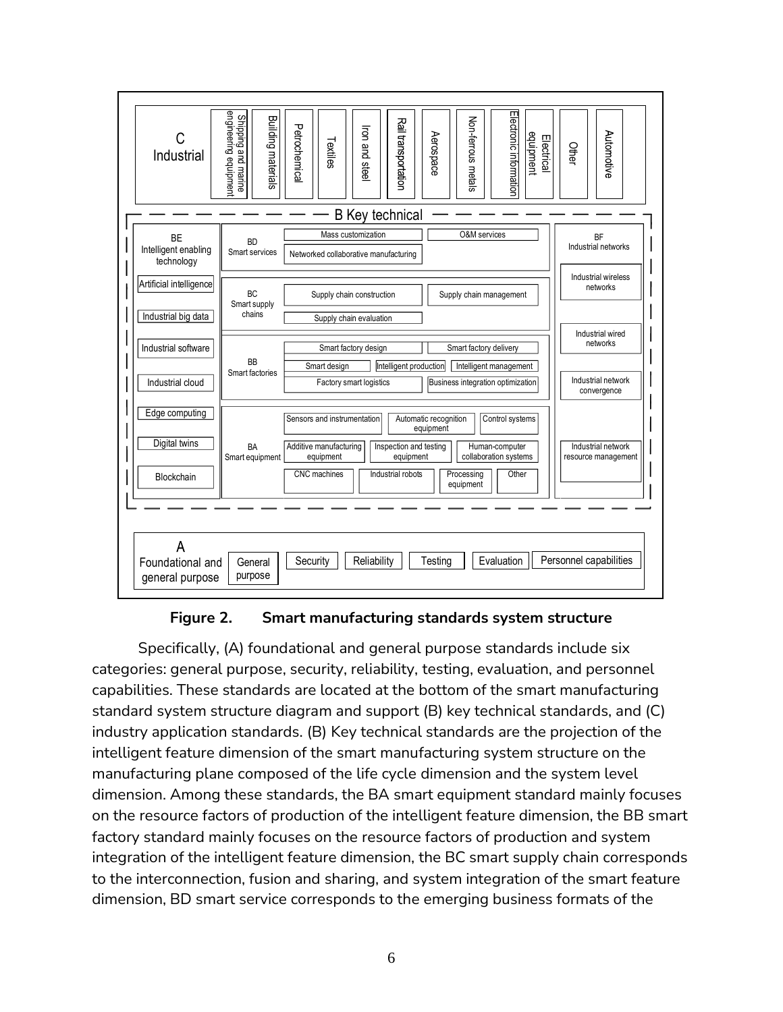



Specifically, (A) foundational and general purpose standards include six categories: general purpose, security, reliability, testing, evaluation, and personnel capabilities. These standards are located at the bottom of the smart manufacturing standard system structure diagram and support (B) key technical standards, and (C) industry application standards. (B) Key technical standards are the projection of the intelligent feature dimension of the smart manufacturing system structure on the manufacturing plane composed of the life cycle dimension and the system level dimension. Among these standards, the BA smart equipment standard mainly focuses on the resource factors of production of the intelligent feature dimension, the BB smart factory standard mainly focuses on the resource factors of production and system integration of the intelligent feature dimension, the BC smart supply chain corresponds to the interconnection, fusion and sharing, and system integration of the smart feature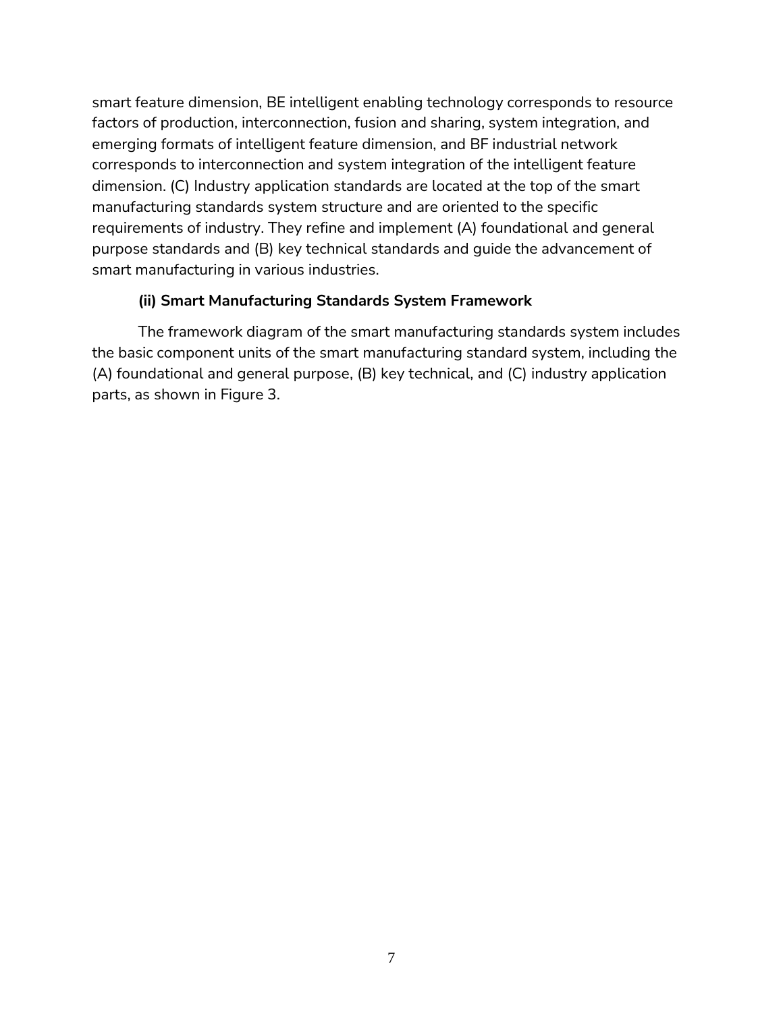smart feature dimension, BE intelligent enabling technology corresponds to resource factors of production, interconnection, fusion and sharing, system integration, and emerging formats of intelligent feature dimension, and BF industrial network corresponds to interconnection and system integration of the intelligent feature dimension. (C) Industry application standards are located at the top of the smart manufacturing standards system structure and are oriented to the specific requirements of industry. They refine and implement (A) foundational and general purpose standards and (B) key technical standards and guide the advancement of smart manufacturing in various industries.

### **(ii) Smart Manufacturing Standards System Framework**

<span id="page-8-0"></span>The framework diagram of the smart manufacturing standards system includes the basic component units of the smart manufacturing standard system, including the (A) foundational and general purpose, (B) key technical, and (C) industry application parts, as shown in Figure 3.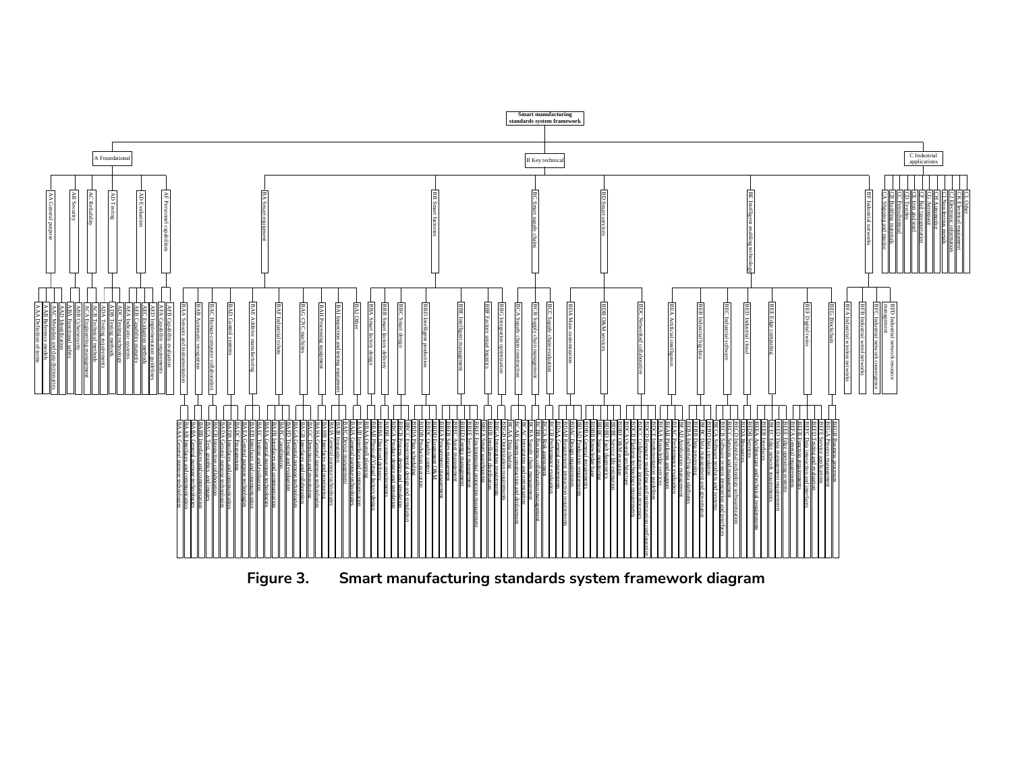

**Figure 3. Smart manufacturing standards system framework diagram**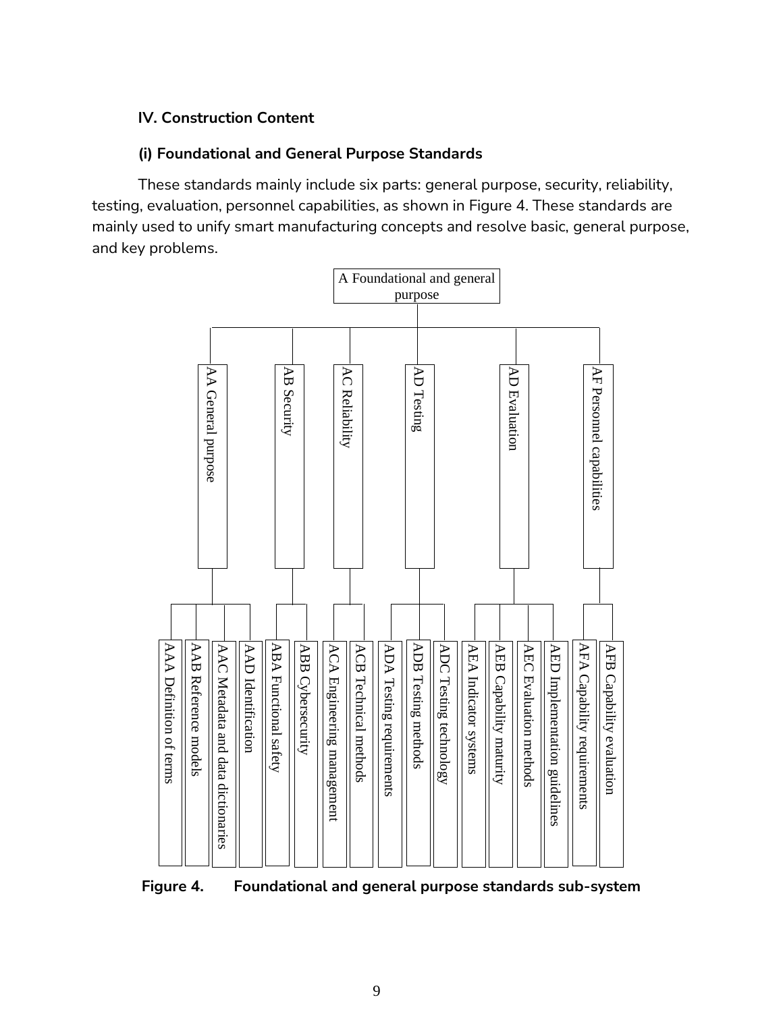### <span id="page-10-0"></span>**IV. Construction Content**

### **(i) Foundational and General Purpose Standards**

<span id="page-10-1"></span>These standards mainly include six parts: general purpose, security, reliability, testing, evaluation, personnel capabilities, as shown in Figure 4. These standards are mainly used to unify smart manufacturing concepts and resolve basic, general purpose, and key problems.

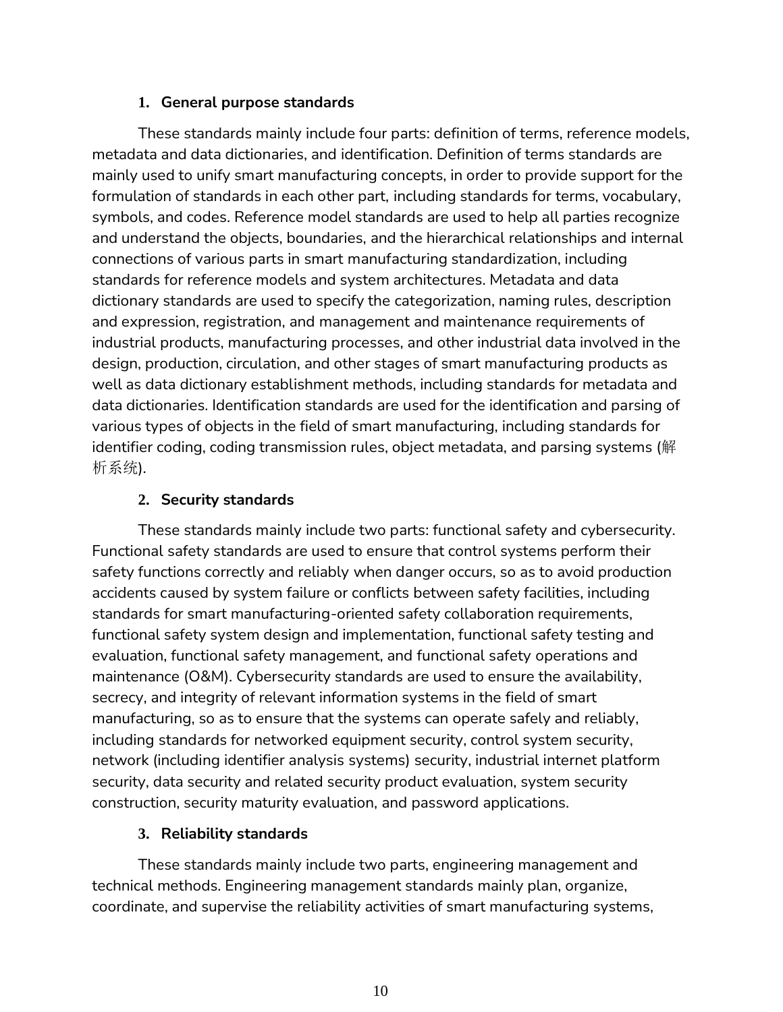### **1. General purpose standards**

These standards mainly include four parts: definition of terms, reference models, metadata and data dictionaries, and identification. Definition of terms standards are mainly used to unify smart manufacturing concepts, in order to provide support for the formulation of standards in each other part, including standards for terms, vocabulary, symbols, and codes. Reference model standards are used to help all parties recognize and understand the objects, boundaries, and the hierarchical relationships and internal connections of various parts in smart manufacturing standardization, including standards for reference models and system architectures. Metadata and data dictionary standards are used to specify the categorization, naming rules, description and expression, registration, and management and maintenance requirements of industrial products, manufacturing processes, and other industrial data involved in the design, production, circulation, and other stages of smart manufacturing products as well as data dictionary establishment methods, including standards for metadata and data dictionaries. Identification standards are used for the identification and parsing of various types of objects in the field of smart manufacturing, including standards for identifier coding, coding transmission rules, object metadata, and parsing systems (解 析系统).

### **2. Security standards**

These standards mainly include two parts: functional safety and cybersecurity. Functional safety standards are used to ensure that control systems perform their safety functions correctly and reliably when danger occurs, so as to avoid production accidents caused by system failure or conflicts between safety facilities, including standards for smart manufacturing-oriented safety collaboration requirements, functional safety system design and implementation, functional safety testing and evaluation, functional safety management, and functional safety operations and maintenance (O&M). Cybersecurity standards are used to ensure the availability, secrecy, and integrity of relevant information systems in the field of smart manufacturing, so as to ensure that the systems can operate safely and reliably, including standards for networked equipment security, control system security, network (including identifier analysis systems) security, industrial internet platform security, data security and related security product evaluation, system security construction, security maturity evaluation, and password applications.

#### **3. Reliability standards**

These standards mainly include two parts, engineering management and technical methods. Engineering management standards mainly plan, organize, coordinate, and supervise the reliability activities of smart manufacturing systems,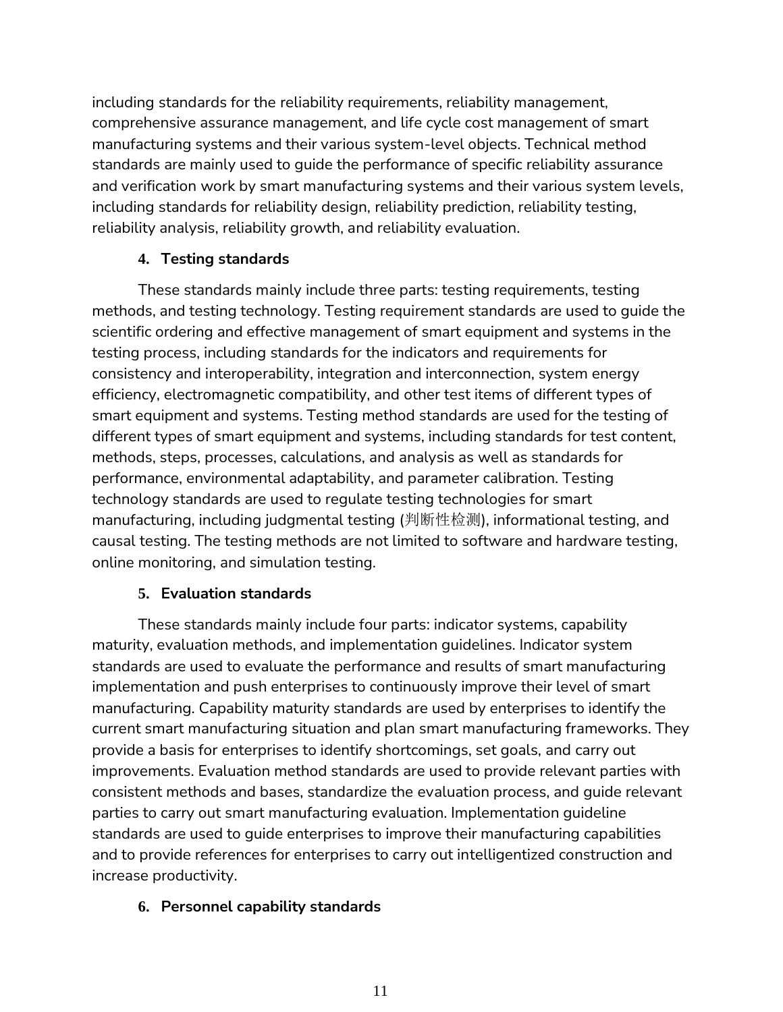including standards for the reliability requirements, reliability management, comprehensive assurance management, and life cycle cost management of smart manufacturing systems and their various system-level objects. Technical method standards are mainly used to guide the performance of specific reliability assurance and verification work by smart manufacturing systems and their various system levels, including standards for reliability design, reliability prediction, reliability testing, reliability analysis, reliability growth, and reliability evaluation.

## **4. Testing standards**

These standards mainly include three parts: testing requirements, testing methods, and testing technology. Testing requirement standards are used to guide the scientific ordering and effective management of smart equipment and systems in the testing process, including standards for the indicators and requirements for consistency and interoperability, integration and interconnection, system energy efficiency, electromagnetic compatibility, and other test items of different types of smart equipment and systems. Testing method standards are used for the testing of different types of smart equipment and systems, including standards for test content, methods, steps, processes, calculations, and analysis as well as standards for performance, environmental adaptability, and parameter calibration. Testing technology standards are used to regulate testing technologies for smart manufacturing, including judgmental testing (判断性检测), informational testing, and causal testing. The testing methods are not limited to software and hardware testing, online monitoring, and simulation testing.

### **5. Evaluation standards**

These standards mainly include four parts: indicator systems, capability maturity, evaluation methods, and implementation guidelines. Indicator system standards are used to evaluate the performance and results of smart manufacturing implementation and push enterprises to continuously improve their level of smart manufacturing. Capability maturity standards are used by enterprises to identify the current smart manufacturing situation and plan smart manufacturing frameworks. They provide a basis for enterprises to identify shortcomings, set goals, and carry out improvements. Evaluation method standards are used to provide relevant parties with consistent methods and bases, standardize the evaluation process, and guide relevant parties to carry out smart manufacturing evaluation. Implementation guideline standards are used to guide enterprises to improve their manufacturing capabilities and to provide references for enterprises to carry out intelligentized construction and increase productivity.

### **6. Personnel capability standards**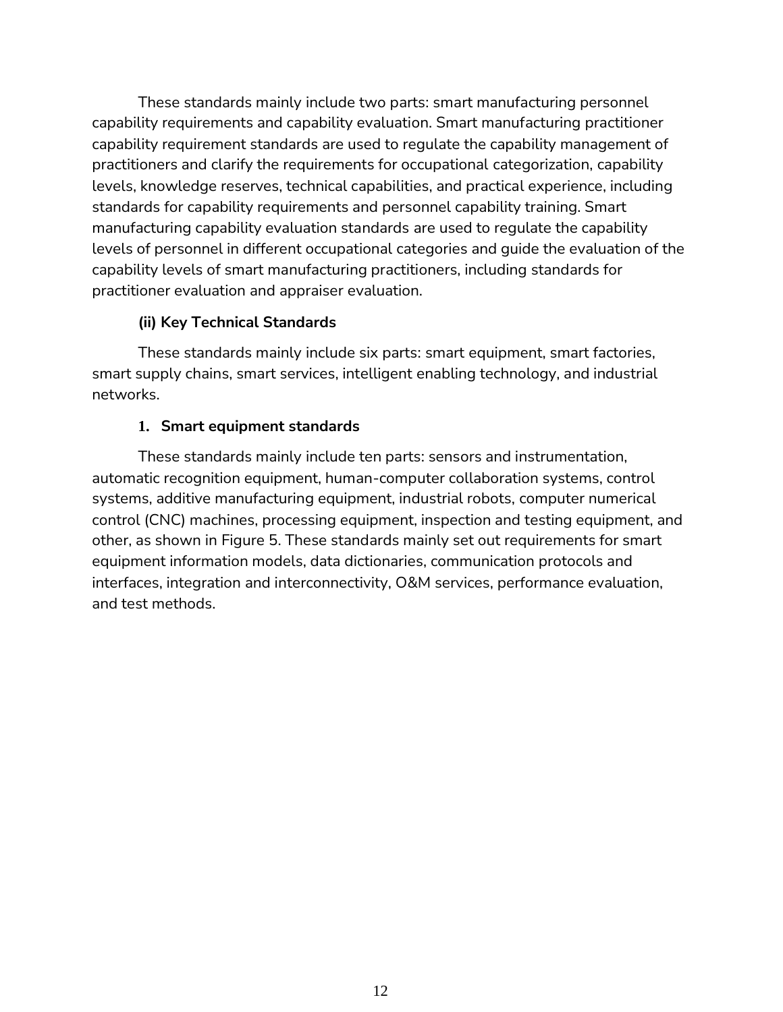These standards mainly include two parts: smart manufacturing personnel capability requirements and capability evaluation. Smart manufacturing practitioner capability requirement standards are used to regulate the capability management of practitioners and clarify the requirements for occupational categorization, capability levels, knowledge reserves, technical capabilities, and practical experience, including standards for capability requirements and personnel capability training. Smart manufacturing capability evaluation standards are used to regulate the capability levels of personnel in different occupational categories and guide the evaluation of the capability levels of smart manufacturing practitioners, including standards for practitioner evaluation and appraiser evaluation.

## **(ii) Key Technical Standards**

<span id="page-13-0"></span>These standards mainly include six parts: smart equipment, smart factories, smart supply chains, smart services, intelligent enabling technology, and industrial networks.

## **1. Smart equipment standards**

These standards mainly include ten parts: sensors and instrumentation, automatic recognition equipment, human-computer collaboration systems, control systems, additive manufacturing equipment, industrial robots, computer numerical control (CNC) machines, processing equipment, inspection and testing equipment, and other, as shown in Figure 5. These standards mainly set out requirements for smart equipment information models, data dictionaries, communication protocols and interfaces, integration and interconnectivity, O&M services, performance evaluation, and test methods.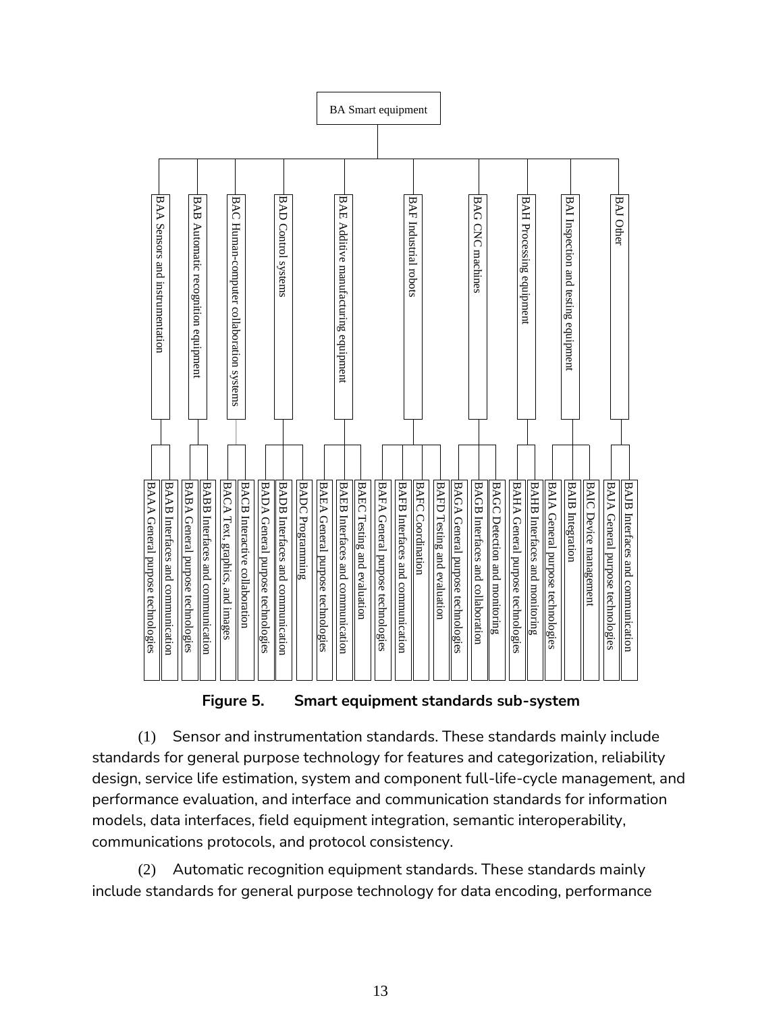

**Figure 5. Smart equipment standards sub-system**

(1) Sensor and instrumentation standards. These standards mainly include standards for general purpose technology for features and categorization, reliability design, service life estimation, system and component full-life-cycle management, and performance evaluation, and interface and communication standards for information models, data interfaces, field equipment integration, semantic interoperability, communications protocols, and protocol consistency.

(2) Automatic recognition equipment standards. These standards mainly include standards for general purpose technology for data encoding, performance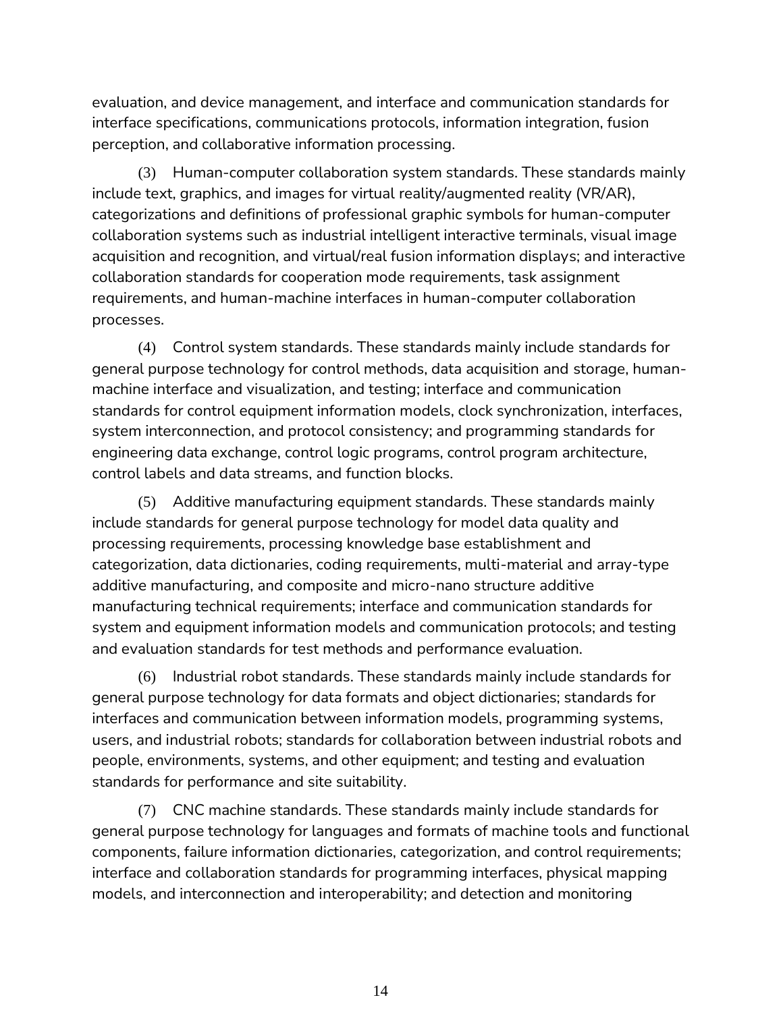evaluation, and device management, and interface and communication standards for interface specifications, communications protocols, information integration, fusion perception, and collaborative information processing.

(3) Human-computer collaboration system standards. These standards mainly include text, graphics, and images for virtual reality/augmented reality (VR/AR), categorizations and definitions of professional graphic symbols for human-computer collaboration systems such as industrial intelligent interactive terminals, visual image acquisition and recognition, and virtual/real fusion information displays; and interactive collaboration standards for cooperation mode requirements, task assignment requirements, and human-machine interfaces in human-computer collaboration processes.

(4) Control system standards. These standards mainly include standards for general purpose technology for control methods, data acquisition and storage, humanmachine interface and visualization, and testing; interface and communication standards for control equipment information models, clock synchronization, interfaces, system interconnection, and protocol consistency; and programming standards for engineering data exchange, control logic programs, control program architecture, control labels and data streams, and function blocks.

(5) Additive manufacturing equipment standards. These standards mainly include standards for general purpose technology for model data quality and processing requirements, processing knowledge base establishment and categorization, data dictionaries, coding requirements, multi-material and array-type additive manufacturing, and composite and micro-nano structure additive manufacturing technical requirements; interface and communication standards for system and equipment information models and communication protocols; and testing and evaluation standards for test methods and performance evaluation.

(6) Industrial robot standards. These standards mainly include standards for general purpose technology for data formats and object dictionaries; standards for interfaces and communication between information models, programming systems, users, and industrial robots; standards for collaboration between industrial robots and people, environments, systems, and other equipment; and testing and evaluation standards for performance and site suitability.

(7) CNC machine standards. These standards mainly include standards for general purpose technology for languages and formats of machine tools and functional components, failure information dictionaries, categorization, and control requirements; interface and collaboration standards for programming interfaces, physical mapping models, and interconnection and interoperability; and detection and monitoring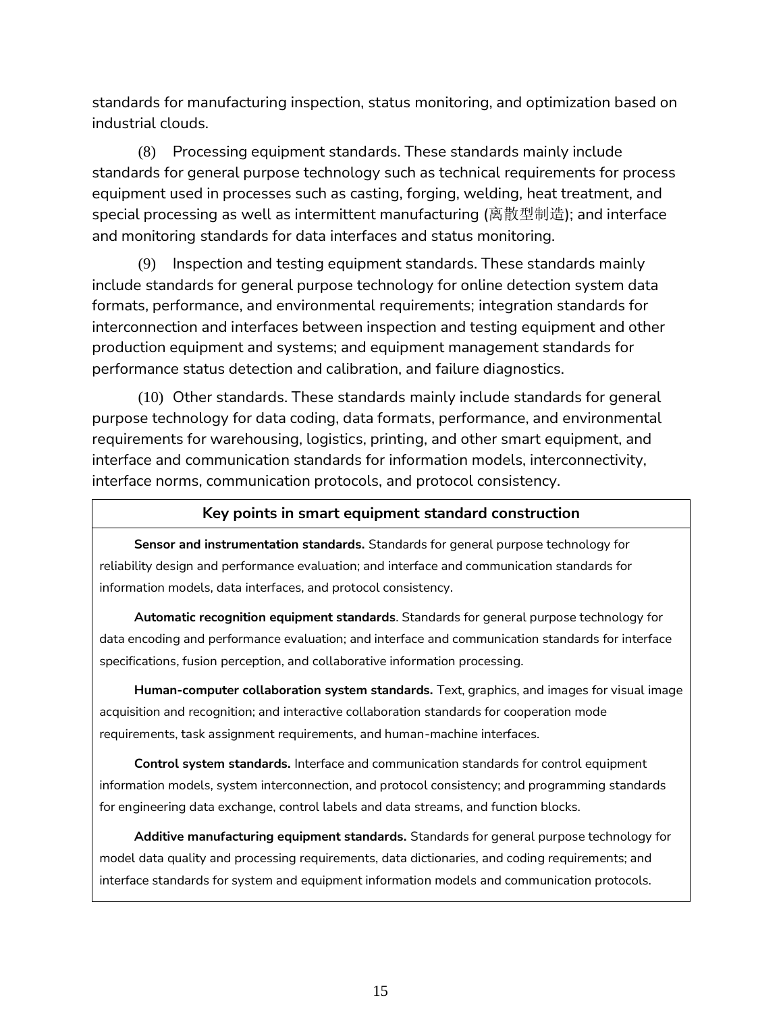standards for manufacturing inspection, status monitoring, and optimization based on industrial clouds.

(8) Processing equipment standards. These standards mainly include standards for general purpose technology such as technical requirements for process equipment used in processes such as casting, forging, welding, heat treatment, and special processing as well as intermittent manufacturing (离散型制造); and interface and monitoring standards for data interfaces and status monitoring.

(9) Inspection and testing equipment standards. These standards mainly include standards for general purpose technology for online detection system data formats, performance, and environmental requirements; integration standards for interconnection and interfaces between inspection and testing equipment and other production equipment and systems; and equipment management standards for performance status detection and calibration, and failure diagnostics.

(10) Other standards. These standards mainly include standards for general purpose technology for data coding, data formats, performance, and environmental requirements for warehousing, logistics, printing, and other smart equipment, and interface and communication standards for information models, interconnectivity, interface norms, communication protocols, and protocol consistency.

#### **Key points in smart equipment standard construction**

**Sensor and instrumentation standards.** Standards for general purpose technology for reliability design and performance evaluation; and interface and communication standards for information models, data interfaces, and protocol consistency.

**Automatic recognition equipment standards**. Standards for general purpose technology for data encoding and performance evaluation; and interface and communication standards for interface specifications, fusion perception, and collaborative information processing.

**Human-computer collaboration system standards.** Text, graphics, and images for visual image acquisition and recognition; and interactive collaboration standards for cooperation mode requirements, task assignment requirements, and human-machine interfaces.

**Control system standards.** Interface and communication standards for control equipment information models, system interconnection, and protocol consistency; and programming standards for engineering data exchange, control labels and data streams, and function blocks.

**Additive manufacturing equipment standards.** Standards for general purpose technology for model data quality and processing requirements, data dictionaries, and coding requirements; and interface standards for system and equipment information models and communication protocols.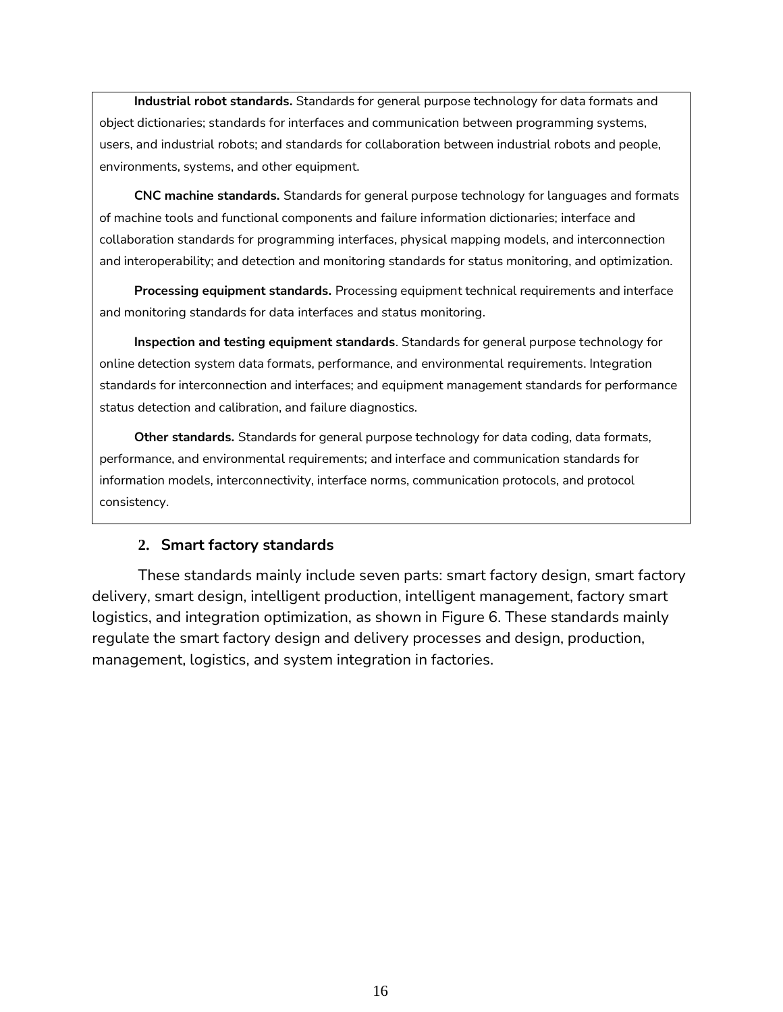**Industrial robot standards.** Standards for general purpose technology for data formats and object dictionaries; standards for interfaces and communication between programming systems, users, and industrial robots; and standards for collaboration between industrial robots and people, environments, systems, and other equipment.

**CNC machine standards.** Standards for general purpose technology for languages and formats of machine tools and functional components and failure information dictionaries; interface and collaboration standards for programming interfaces, physical mapping models, and interconnection and interoperability; and detection and monitoring standards for status monitoring, and optimization.

**Processing equipment standards.** Processing equipment technical requirements and interface and monitoring standards for data interfaces and status monitoring.

**Inspection and testing equipment standards**. Standards for general purpose technology for online detection system data formats, performance, and environmental requirements. Integration standards for interconnection and interfaces; and equipment management standards for performance status detection and calibration, and failure diagnostics.

**Other standards.** Standards for general purpose technology for data coding, data formats, performance, and environmental requirements; and interface and communication standards for information models, interconnectivity, interface norms, communication protocols, and protocol consistency.

#### **2. Smart factory standards**

These standards mainly include seven parts: smart factory design, smart factory delivery, smart design, intelligent production, intelligent management, factory smart logistics, and integration optimization, as shown in Figure 6. These standards mainly regulate the smart factory design and delivery processes and design, production, management, logistics, and system integration in factories.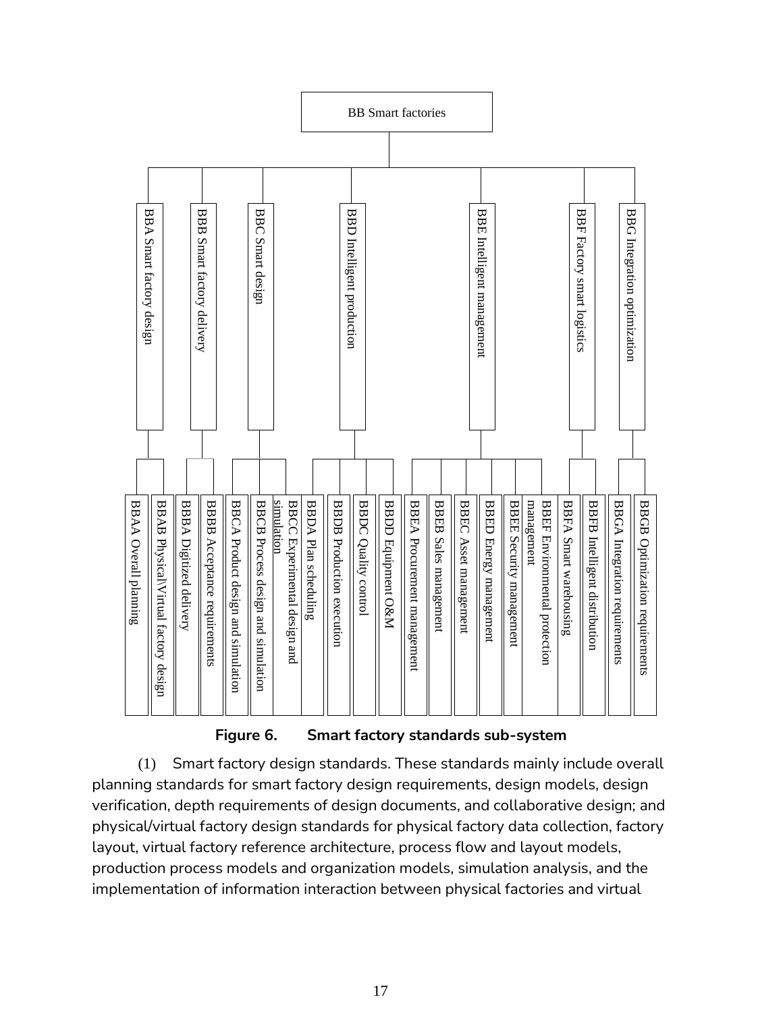

**Figure 6. Smart factory standards sub-system**

(1) Smart factory design standards. These standards mainly include overall planning standards for smart factory design requirements, design models, design verification, depth requirements of design documents, and collaborative design; and physical/virtual factory design standards for physical factory data collection, factory layout, virtual factory reference architecture, process flow and layout models, production process models and organization models, simulation analysis, and the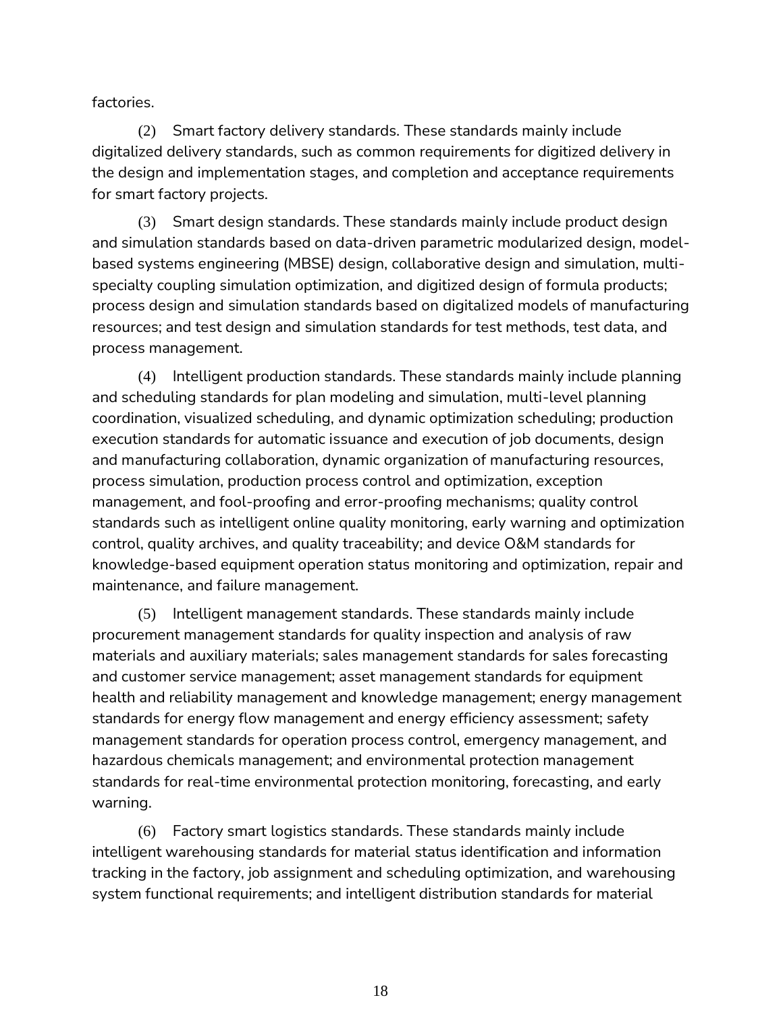factories.

(2) Smart factory delivery standards. These standards mainly include digitalized delivery standards, such as common requirements for digitized delivery in the design and implementation stages, and completion and acceptance requirements for smart factory projects.

(3) Smart design standards. These standards mainly include product design and simulation standards based on data-driven parametric modularized design, modelbased systems engineering (MBSE) design, collaborative design and simulation, multispecialty coupling simulation optimization, and digitized design of formula products; process design and simulation standards based on digitalized models of manufacturing resources; and test design and simulation standards for test methods, test data, and process management.

(4) Intelligent production standards. These standards mainly include planning and scheduling standards for plan modeling and simulation, multi-level planning coordination, visualized scheduling, and dynamic optimization scheduling; production execution standards for automatic issuance and execution of job documents, design and manufacturing collaboration, dynamic organization of manufacturing resources, process simulation, production process control and optimization, exception management, and fool-proofing and error-proofing mechanisms; quality control standards such as intelligent online quality monitoring, early warning and optimization control, quality archives, and quality traceability; and device O&M standards for knowledge-based equipment operation status monitoring and optimization, repair and maintenance, and failure management.

(5) Intelligent management standards. These standards mainly include procurement management standards for quality inspection and analysis of raw materials and auxiliary materials; sales management standards for sales forecasting and customer service management; asset management standards for equipment health and reliability management and knowledge management; energy management standards for energy flow management and energy efficiency assessment; safety management standards for operation process control, emergency management, and hazardous chemicals management; and environmental protection management standards for real-time environmental protection monitoring, forecasting, and early warning.

(6) Factory smart logistics standards. These standards mainly include intelligent warehousing standards for material status identification and information tracking in the factory, job assignment and scheduling optimization, and warehousing system functional requirements; and intelligent distribution standards for material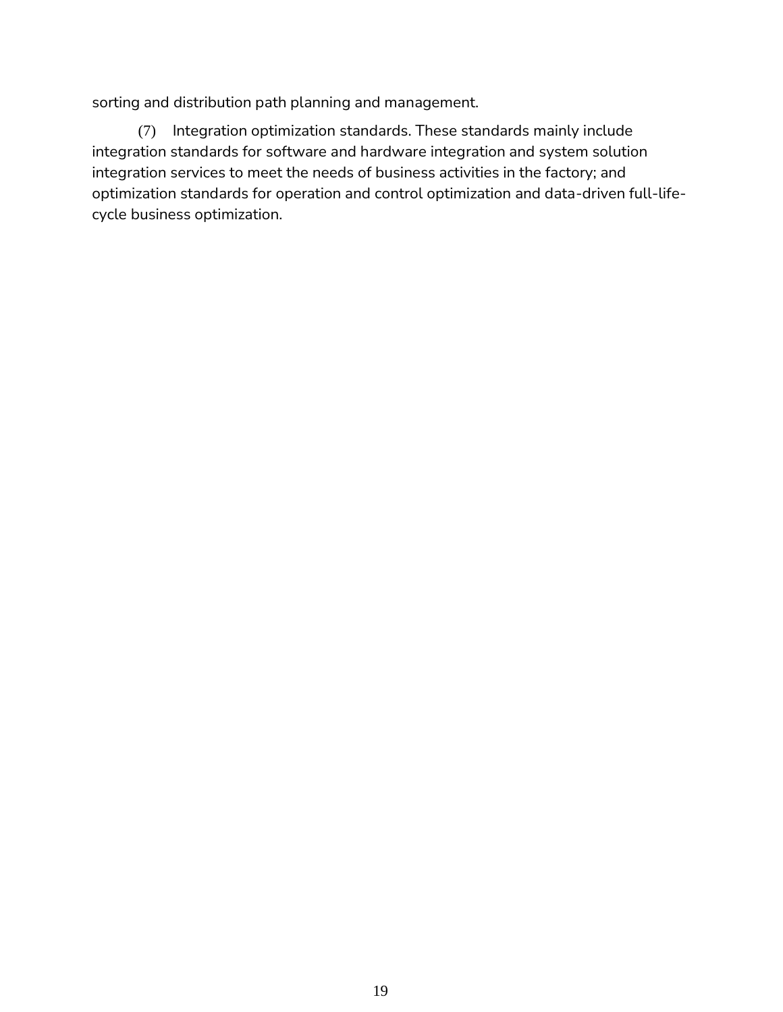sorting and distribution path planning and management.

(7) Integration optimization standards. These standards mainly include integration standards for software and hardware integration and system solution integration services to meet the needs of business activities in the factory; and optimization standards for operation and control optimization and data-driven full-lifecycle business optimization.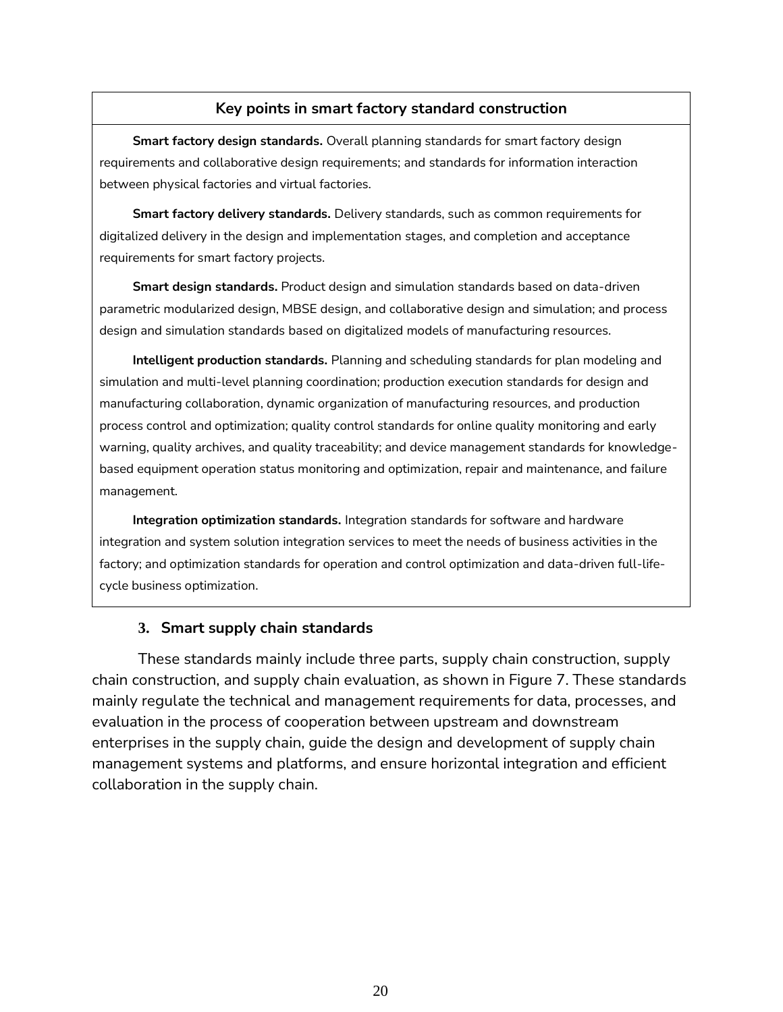### **Key points in smart factory standard construction**

**Smart factory design standards.** Overall planning standards for smart factory design requirements and collaborative design requirements; and standards for information interaction between physical factories and virtual factories.

**Smart factory delivery standards.** Delivery standards, such as common requirements for digitalized delivery in the design and implementation stages, and completion and acceptance requirements for smart factory projects.

**Smart design standards.** Product design and simulation standards based on data-driven parametric modularized design, MBSE design, and collaborative design and simulation; and process design and simulation standards based on digitalized models of manufacturing resources.

**Intelligent production standards.** Planning and scheduling standards for plan modeling and simulation and multi-level planning coordination; production execution standards for design and manufacturing collaboration, dynamic organization of manufacturing resources, and production process control and optimization; quality control standards for online quality monitoring and early warning, quality archives, and quality traceability; and device management standards for knowledgebased equipment operation status monitoring and optimization, repair and maintenance, and failure management.

**Integration optimization standards.** Integration standards for software and hardware integration and system solution integration services to meet the needs of business activities in the factory; and optimization standards for operation and control optimization and data-driven full-lifecycle business optimization.

#### **3. Smart supply chain standards**

These standards mainly include three parts, supply chain construction, supply chain construction, and supply chain evaluation, as shown in Figure 7. These standards mainly regulate the technical and management requirements for data, processes, and evaluation in the process of cooperation between upstream and downstream enterprises in the supply chain, guide the design and development of supply chain management systems and platforms, and ensure horizontal integration and efficient collaboration in the supply chain.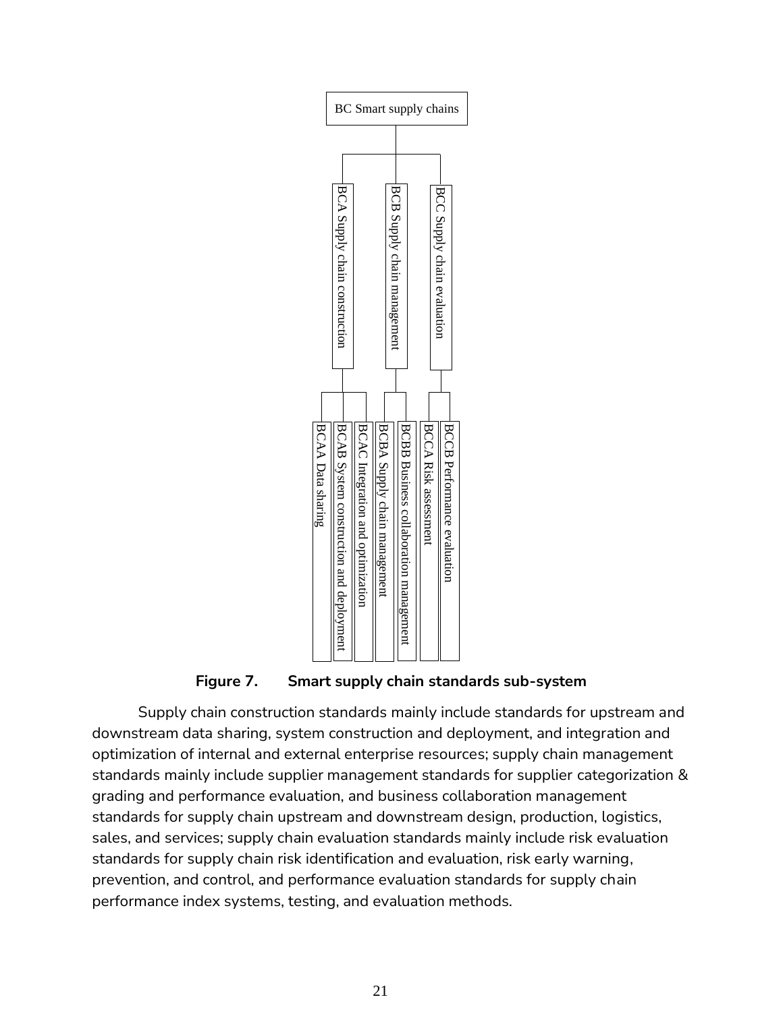

**Figure 7. Smart supply chain standards sub-system**

Supply chain construction standards mainly include standards for upstream and downstream data sharing, system construction and deployment, and integration and optimization of internal and external enterprise resources; supply chain management standards mainly include supplier management standards for supplier categorization & grading and performance evaluation, and business collaboration management standards for supply chain upstream and downstream design, production, logistics, sales, and services; supply chain evaluation standards mainly include risk evaluation standards for supply chain risk identification and evaluation, risk early warning, prevention, and control, and performance evaluation standards for supply chain Assuming a simple property chain construction and property and solution in the second standards of supply chain construction standards mainly include states, and services; supply chain construction and business in the sec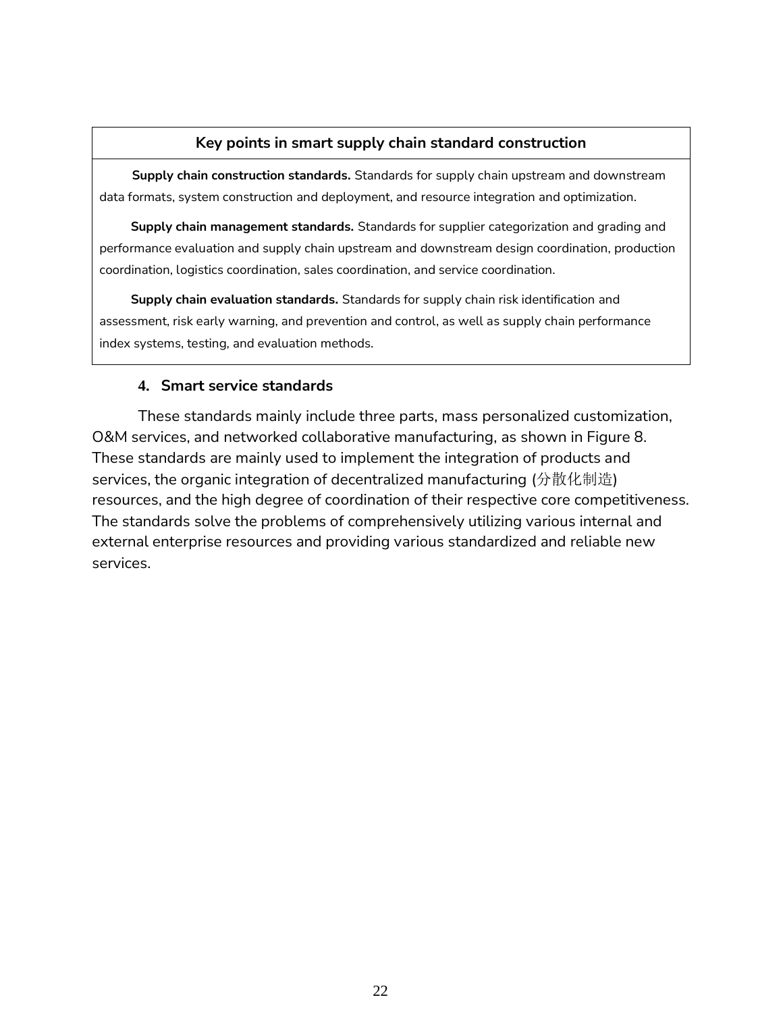#### **Key points in smart supply chain standard construction**

**Supply chain construction standards.** Standards for supply chain upstream and downstream data formats, system construction and deployment, and resource integration and optimization.

**Supply chain management standards.** Standards for supplier categorization and grading and performance evaluation and supply chain upstream and downstream design coordination, production coordination, logistics coordination, sales coordination, and service coordination.

**Supply chain evaluation standards.** Standards for supply chain risk identification and assessment, risk early warning, and prevention and control, as well as supply chain performance index systems, testing, and evaluation methods.

### **4. Smart service standards**

These standards mainly include three parts, mass personalized customization, O&M services, and networked collaborative manufacturing, as shown in Figure 8. These standards are mainly used to implement the integration of products and services, the organic integration of decentralized manufacturing (分散化制造) resources, and the high degree of coordination of their respective core competitiveness. The standards solve the problems of comprehensively utilizing various internal and external enterprise resources and providing various standardized and reliable new services.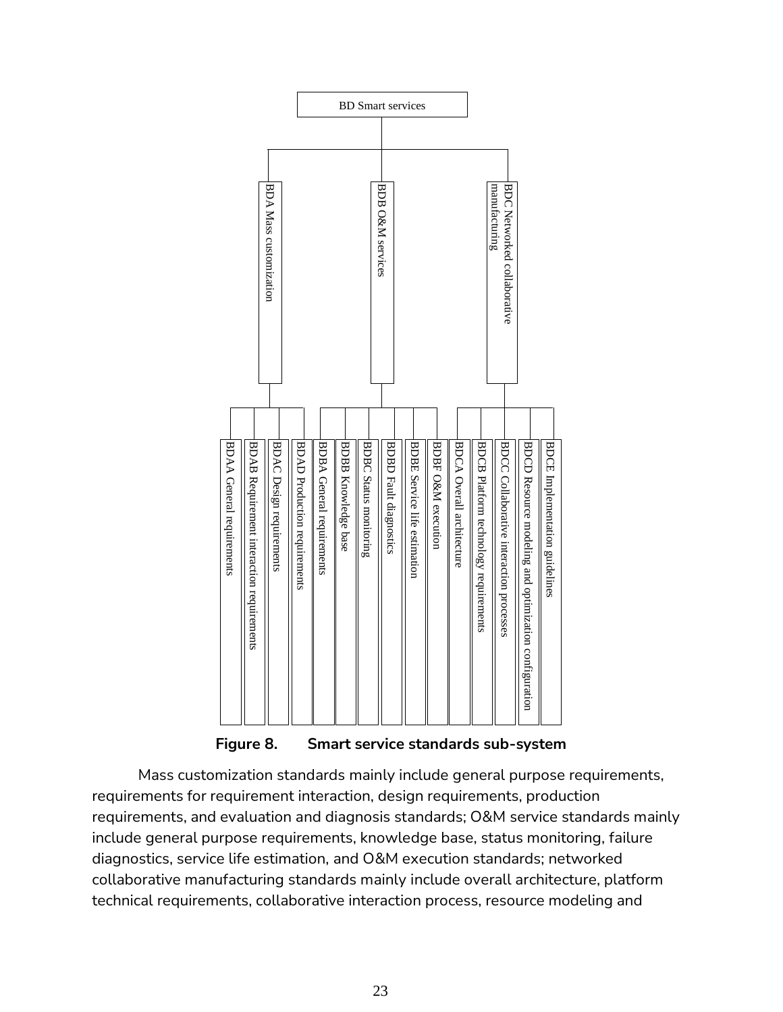

**Figure 8. Smart service standards sub-system**

Mass customization standards mainly include general purpose requirements, requirements for requirement interaction, design requirements, production requirements, and evaluation and diagnosis standards; O&M service standards mainly include general purpose requirements, knowledge base, status monitoring, failure diagnostics, service life estimation, and O&M execution standards; networked collaborative manufacturing standards mainly include overall architecture, platform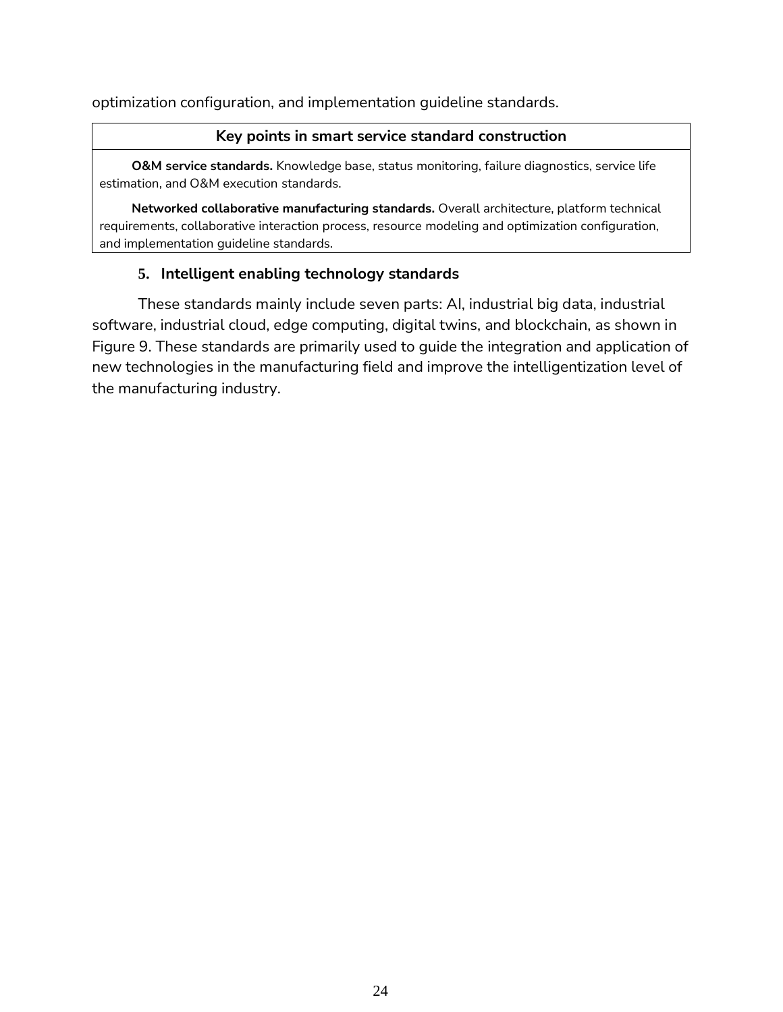optimization configuration, and implementation guideline standards.

#### **Key points in smart service standard construction**

**O&M service standards.** Knowledge base, status monitoring, failure diagnostics, service life estimation, and O&M execution standards.

**Networked collaborative manufacturing standards.** Overall architecture, platform technical requirements, collaborative interaction process, resource modeling and optimization configuration, and implementation guideline standards.

## **5. Intelligent enabling technology standards**

These standards mainly include seven parts: AI, industrial big data, industrial software, industrial cloud, edge computing, digital twins, and blockchain, as shown in Figure 9. These standards are primarily used to guide the integration and application of new technologies in the manufacturing field and improve the intelligentization level of the manufacturing industry.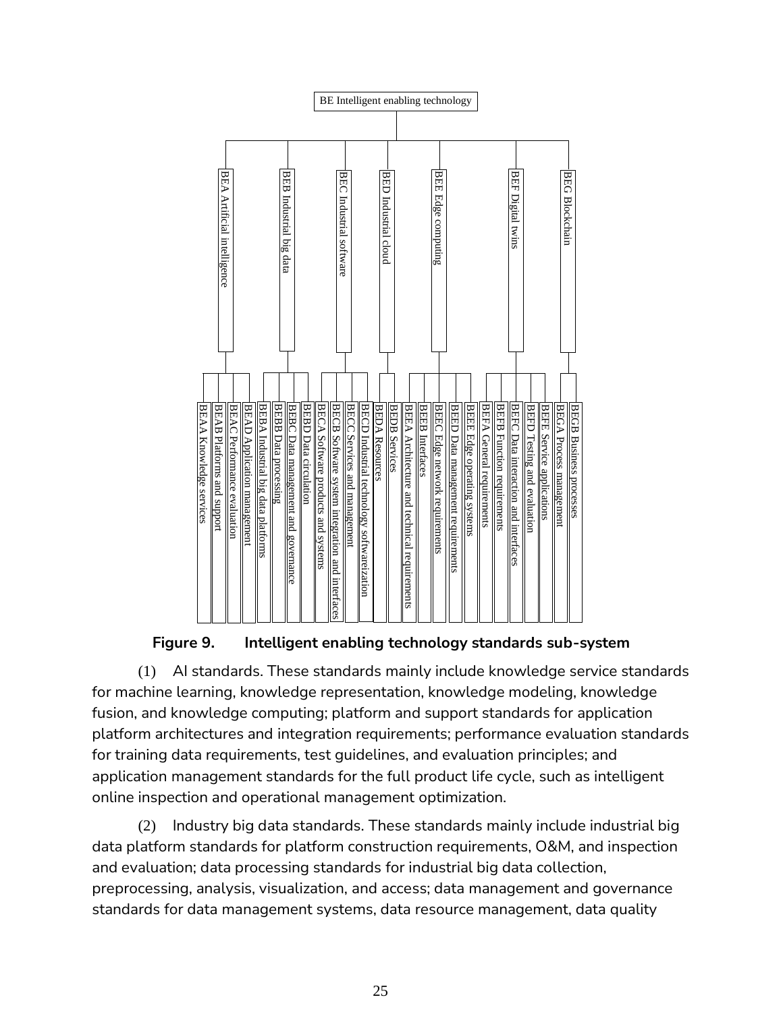![](_page_26_Figure_0.jpeg)

### **Figure 9. Intelligent enabling technology standards sub-system**

(1) AI standards. These standards mainly include knowledge service standards for machine learning, knowledge representation, knowledge modeling, knowledge fusion, and knowledge computing; platform and support standards for application platform architectures and integration requirements; performance evaluation standards for training data requirements, test guidelines, and evaluation principles; and application management standards for the full product life cycle, such as intelligent online inspection and operational management optimization.

(2) Industry big data standards. These standards mainly include industrial big data platform standards for platform construction requirements, O&M, and inspection and evaluation; data processing standards for industrial big data collection, preprocessing, analysis, visualization, and access; data management and governance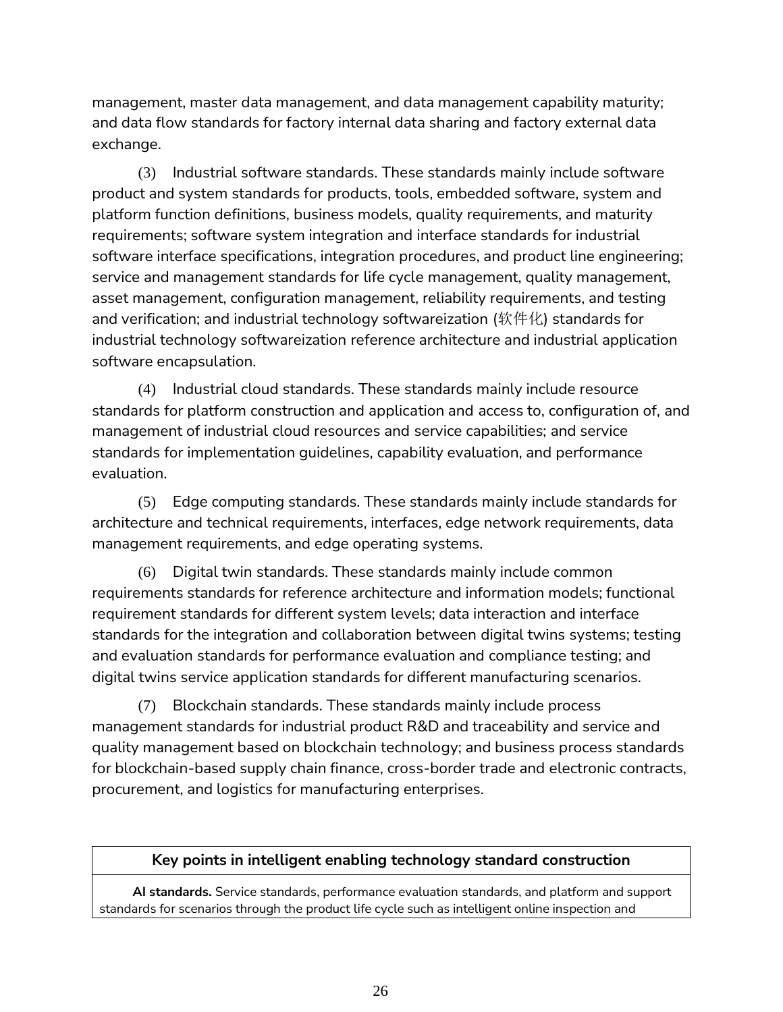management, master data management, and data management capability maturity; and data flow standards for factory internal data sharing and factory external data exchange.

(3) Industrial software standards. These standards mainly include software product and system standards for products, tools, embedded software, system and platform function definitions, business models, quality requirements, and maturity requirements; software system integration and interface standards for industrial software interface specifications, integration procedures, and product line engineering; service and management standards for life cycle management, quality management, asset management, configuration management, reliability requirements, and testing and verification; and industrial technology softwareization (软件化) standards for industrial technology softwareization reference architecture and industrial application software encapsulation.

(4) Industrial cloud standards. These standards mainly include resource standards for platform construction and application and access to, configuration of, and management of industrial cloud resources and service capabilities; and service standards for implementation guidelines, capability evaluation, and performance evaluation.

(5) Edge computing standards. These standards mainly include standards for architecture and technical requirements, interfaces, edge network requirements, data management requirements, and edge operating systems.

(6) Digital twin standards. These standards mainly include common requirements standards for reference architecture and information models; functional requirement standards for different system levels; data interaction and interface standards for the integration and collaboration between digital twins systems; testing and evaluation standards for performance evaluation and compliance testing; and digital twins service application standards for different manufacturing scenarios.

(7) Blockchain standards. These standards mainly include process management standards for industrial product R&D and traceability and service and quality management based on blockchain technology; and business process standards for blockchain-based supply chain finance, cross-border trade and electronic contracts, procurement, and logistics for manufacturing enterprises.

#### **Key points in intelligent enabling technology standard construction**

**AI standards.** Service standards, performance evaluation standards, and platform and support standards for scenarios through the product life cycle such as intelligent online inspection and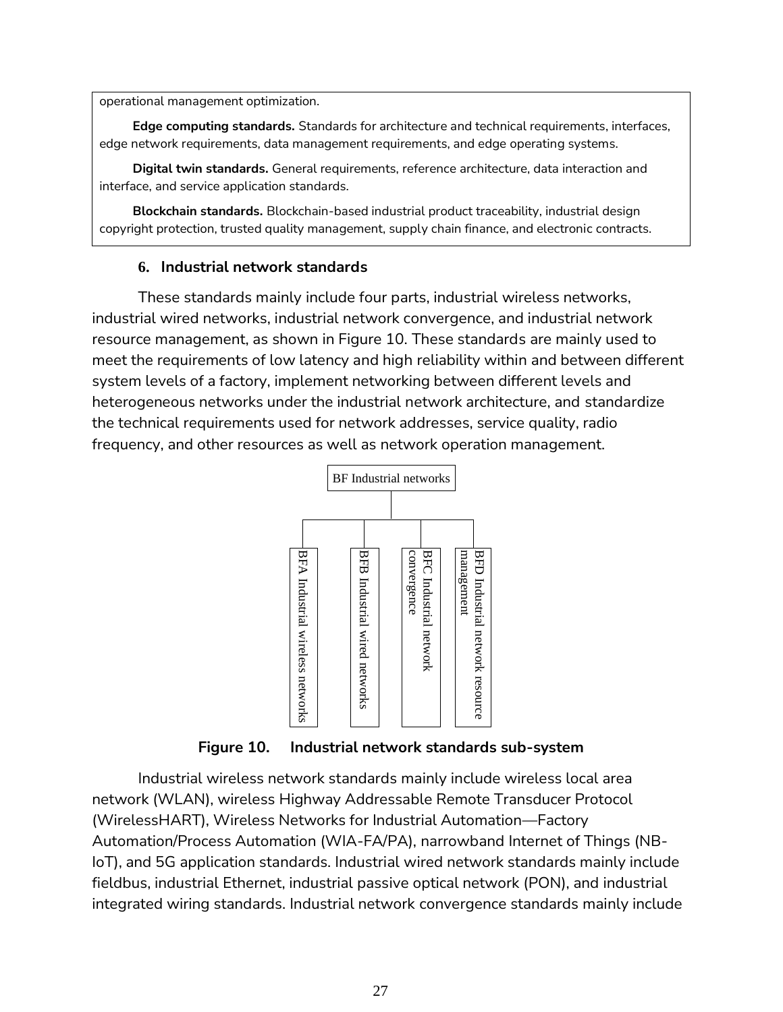operational management optimization.

**Edge computing standards.** Standards for architecture and technical requirements, interfaces, edge network requirements, data management requirements, and edge operating systems.

**Digital twin standards.** General requirements, reference architecture, data interaction and interface, and service application standards.

**Blockchain standards.** Blockchain-based industrial product traceability, industrial design copyright protection, trusted quality management, supply chain finance, and electronic contracts.

#### **6. Industrial network standards**

These standards mainly include four parts, industrial wireless networks, industrial wired networks, industrial network convergence, and industrial network resource management, as shown in Figure 10. These standards are mainly used to meet the requirements of low latency and high reliability within and between different system levels of a factory, implement networking between different levels and heterogeneous networks under the industrial network architecture, and standardize the technical requirements used for network addresses, service quality, radio frequency, and other resources as well as network operation management.

![](_page_28_Figure_6.jpeg)

**Figure 10. Industrial network standards sub-system**

Industrial wireless network standards mainly include wireless local area network (WLAN), wireless Highway Addressable Remote Transducer Protocol (WirelessHART), Wireless Networks for Industrial Automation—Factory Automation/Process Automation (WIA-FA/PA), narrowband Internet of Things (NB-IoT), and 5G application standards. Industrial wired network standards mainly include fieldbus, industrial Ethernet, industrial passive optical network (PON), and industrial Figure 10. Industrial network standards sub-system<br>
Industrial network standards sub-system<br>
Industrial wireless network standards mainly include wireless local area<br>
network (WLAN), wireless Highway Addressable Remote Tr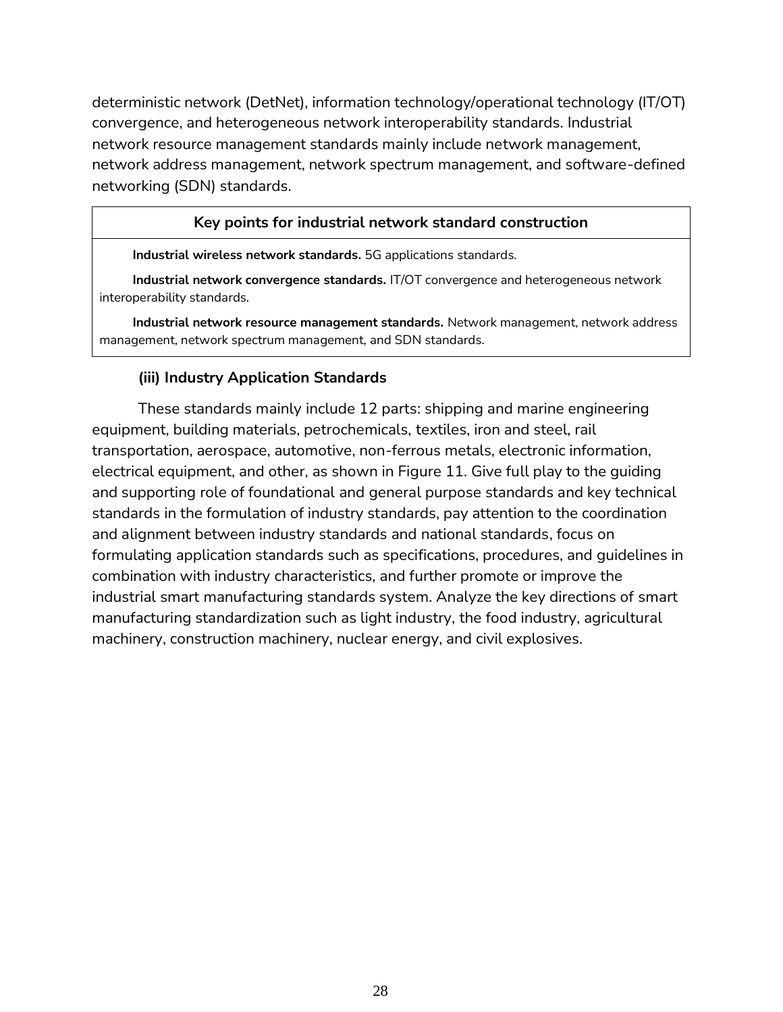deterministic network (DetNet), information technology/operational technology (IT/OT) convergence, and heterogeneous network interoperability standards. Industrial network resource management standards mainly include network management, network address management, network spectrum management, and software-defined networking (SDN) standards.

#### **Key points for industrial network standard construction**

**Industrial wireless network standards.** 5G applications standards.

**Industrial network convergence standards.** IT/OT convergence and heterogeneous network interoperability standards.

**Industrial network resource management standards.** Network management, network address management, network spectrum management, and SDN standards.

### **(iii) Industry Application Standards**

<span id="page-29-0"></span>These standards mainly include 12 parts: shipping and marine engineering equipment, building materials, petrochemicals, textiles, iron and steel, rail transportation, aerospace, automotive, non-ferrous metals, electronic information, electrical equipment, and other, as shown in Figure 11. Give full play to the guiding and supporting role of foundational and general purpose standards and key technical standards in the formulation of industry standards, pay attention to the coordination and alignment between industry standards and national standards, focus on formulating application standards such as specifications, procedures, and guidelines in combination with industry characteristics, and further promote or improve the industrial smart manufacturing standards system. Analyze the key directions of smart manufacturing standardization such as light industry, the food industry, agricultural machinery, construction machinery, nuclear energy, and civil explosives.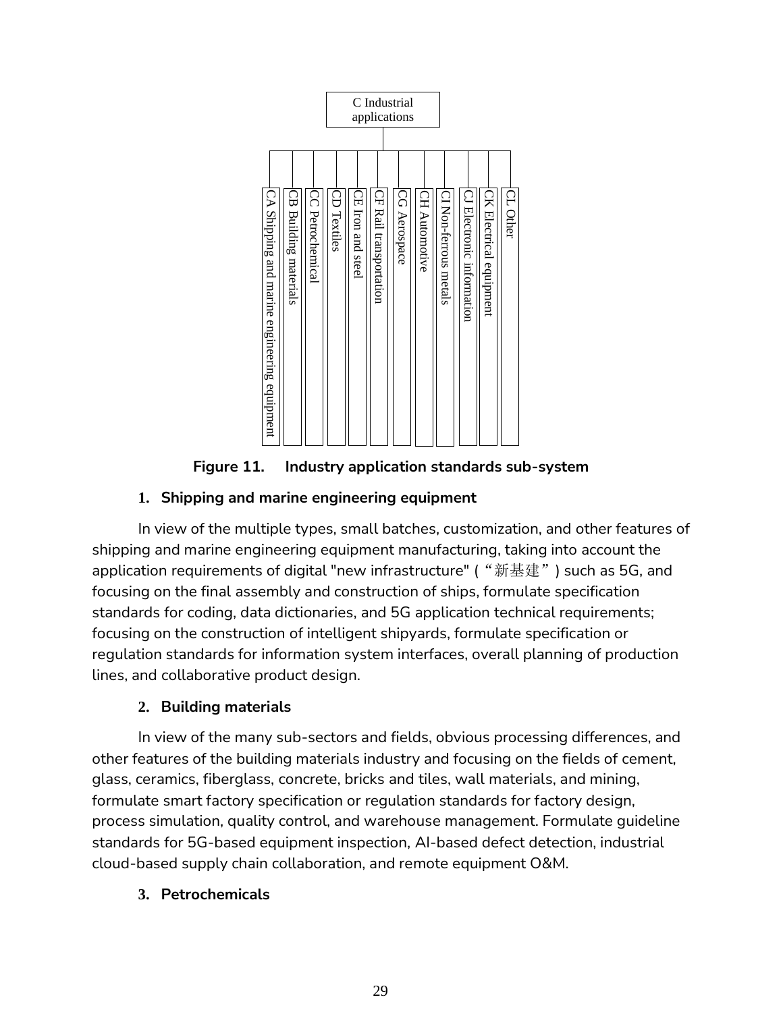![](_page_30_Figure_0.jpeg)

**Figure 11. Industry application standards sub-system**

# **1. Shipping and marine engineering equipment**

In view of the multiple types, small batches, customization, and other features of shipping and marine engineering equipment manufacturing, taking into account the application requirements of digital "new infrastructure" ("新基建") such as 5G, and focusing on the final assembly and construction of ships, formulate specification standards for coding, data dictionaries, and 5G application technical requirements; focusing on the construction of intelligent shipyards, formulate specification or regulation standards for information system interfaces, overall planning of production lines, and collaborative product design.

# **2. Building materials**

In view of the many sub-sectors and fields, obvious processing differences, and other features of the building materials industry and focusing on the fields of cement, glass, ceramics, fiberglass, concrete, bricks and tiles, wall materials, and mining, formulate smart factory specification or regulation standards for factory design, process simulation, quality control, and warehouse management. Formulate guideline standards for 5G-based equipment inspection, AI-based defect detection, industrial cloud-based supply chain collaboration, and remote equipment O&M.

# **3. Petrochemicals**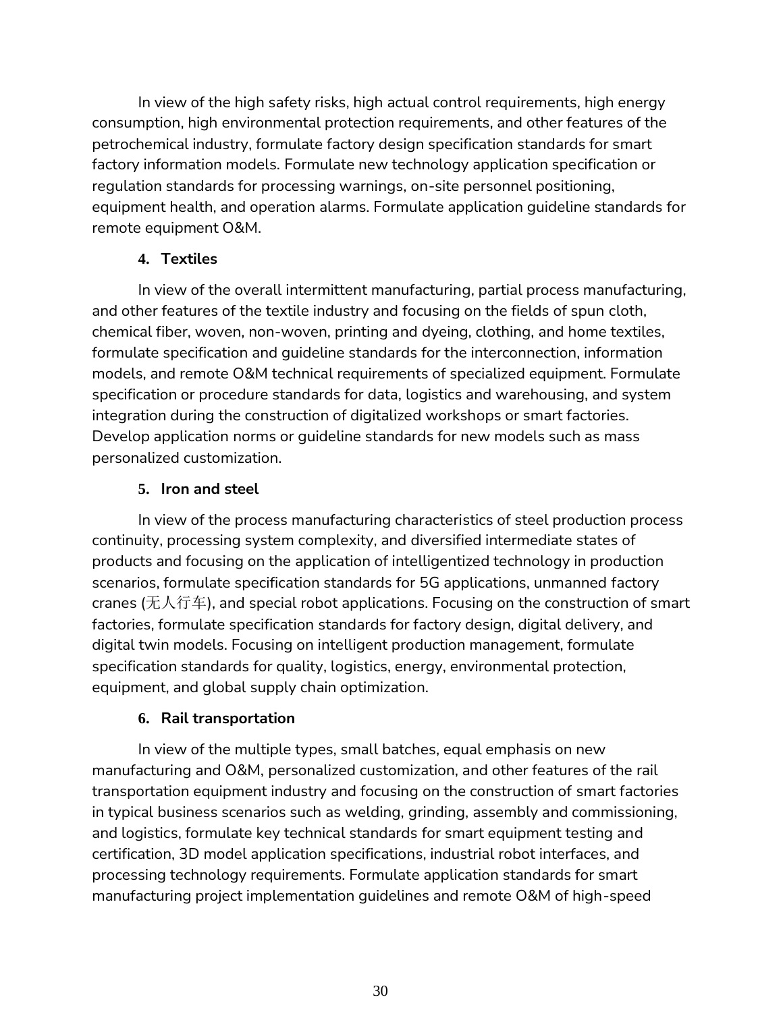In view of the high safety risks, high actual control requirements, high energy consumption, high environmental protection requirements, and other features of the petrochemical industry, formulate factory design specification standards for smart factory information models. Formulate new technology application specification or regulation standards for processing warnings, on-site personnel positioning, equipment health, and operation alarms. Formulate application guideline standards for remote equipment O&M.

## **4. Textiles**

In view of the overall intermittent manufacturing, partial process manufacturing, and other features of the textile industry and focusing on the fields of spun cloth, chemical fiber, woven, non-woven, printing and dyeing, clothing, and home textiles, formulate specification and guideline standards for the interconnection, information models, and remote O&M technical requirements of specialized equipment. Formulate specification or procedure standards for data, logistics and warehousing, and system integration during the construction of digitalized workshops or smart factories. Develop application norms or guideline standards for new models such as mass personalized customization.

## **5. Iron and steel**

In view of the process manufacturing characteristics of steel production process continuity, processing system complexity, and diversified intermediate states of products and focusing on the application of intelligentized technology in production scenarios, formulate specification standards for 5G applications, unmanned factory cranes (无人行车), and special robot applications. Focusing on the construction of smart factories, formulate specification standards for factory design, digital delivery, and digital twin models. Focusing on intelligent production management, formulate specification standards for quality, logistics, energy, environmental protection, equipment, and global supply chain optimization.

### **6. Rail transportation**

In view of the multiple types, small batches, equal emphasis on new manufacturing and O&M, personalized customization, and other features of the rail transportation equipment industry and focusing on the construction of smart factories in typical business scenarios such as welding, grinding, assembly and commissioning, and logistics, formulate key technical standards for smart equipment testing and certification, 3D model application specifications, industrial robot interfaces, and processing technology requirements. Formulate application standards for smart manufacturing project implementation guidelines and remote O&M of high-speed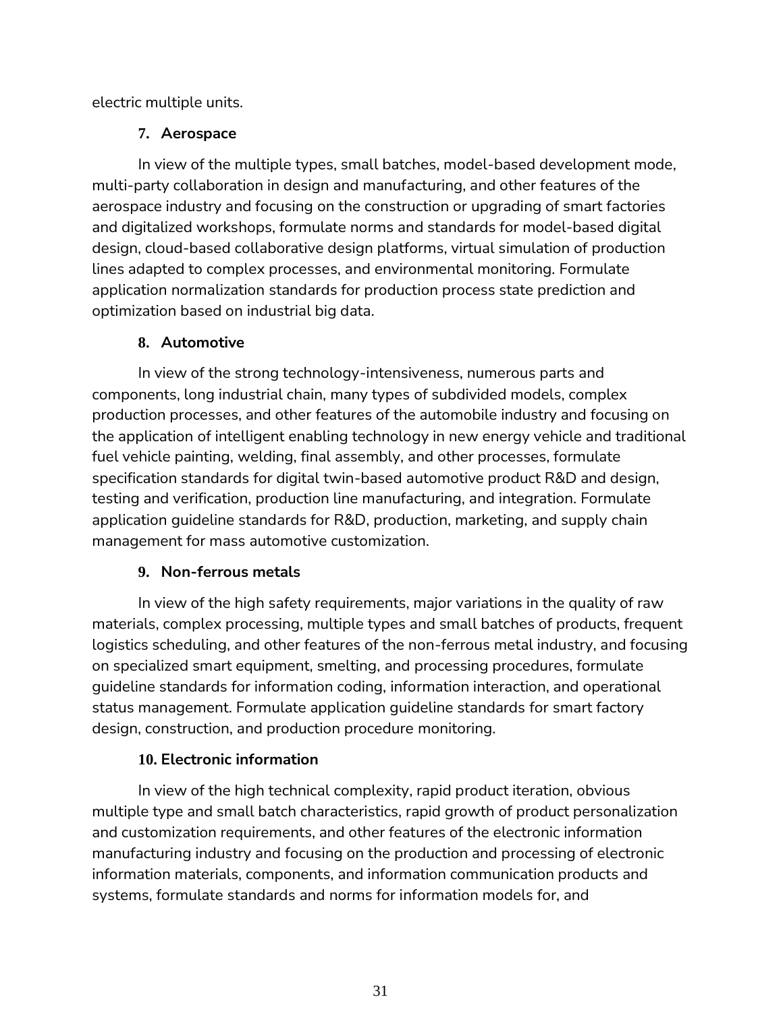electric multiple units.

## **7. Aerospace**

In view of the multiple types, small batches, model-based development mode, multi-party collaboration in design and manufacturing, and other features of the aerospace industry and focusing on the construction or upgrading of smart factories and digitalized workshops, formulate norms and standards for model-based digital design, cloud-based collaborative design platforms, virtual simulation of production lines adapted to complex processes, and environmental monitoring. Formulate application normalization standards for production process state prediction and optimization based on industrial big data.

# **8. Automotive**

In view of the strong technology-intensiveness, numerous parts and components, long industrial chain, many types of subdivided models, complex production processes, and other features of the automobile industry and focusing on the application of intelligent enabling technology in new energy vehicle and traditional fuel vehicle painting, welding, final assembly, and other processes, formulate specification standards for digital twin-based automotive product R&D and design, testing and verification, production line manufacturing, and integration. Formulate application guideline standards for R&D, production, marketing, and supply chain management for mass automotive customization.

# **9. Non-ferrous metals**

In view of the high safety requirements, major variations in the quality of raw materials, complex processing, multiple types and small batches of products, frequent logistics scheduling, and other features of the non-ferrous metal industry, and focusing on specialized smart equipment, smelting, and processing procedures, formulate guideline standards for information coding, information interaction, and operational status management. Formulate application guideline standards for smart factory design, construction, and production procedure monitoring.

# **10. Electronic information**

In view of the high technical complexity, rapid product iteration, obvious multiple type and small batch characteristics, rapid growth of product personalization and customization requirements, and other features of the electronic information manufacturing industry and focusing on the production and processing of electronic information materials, components, and information communication products and systems, formulate standards and norms for information models for, and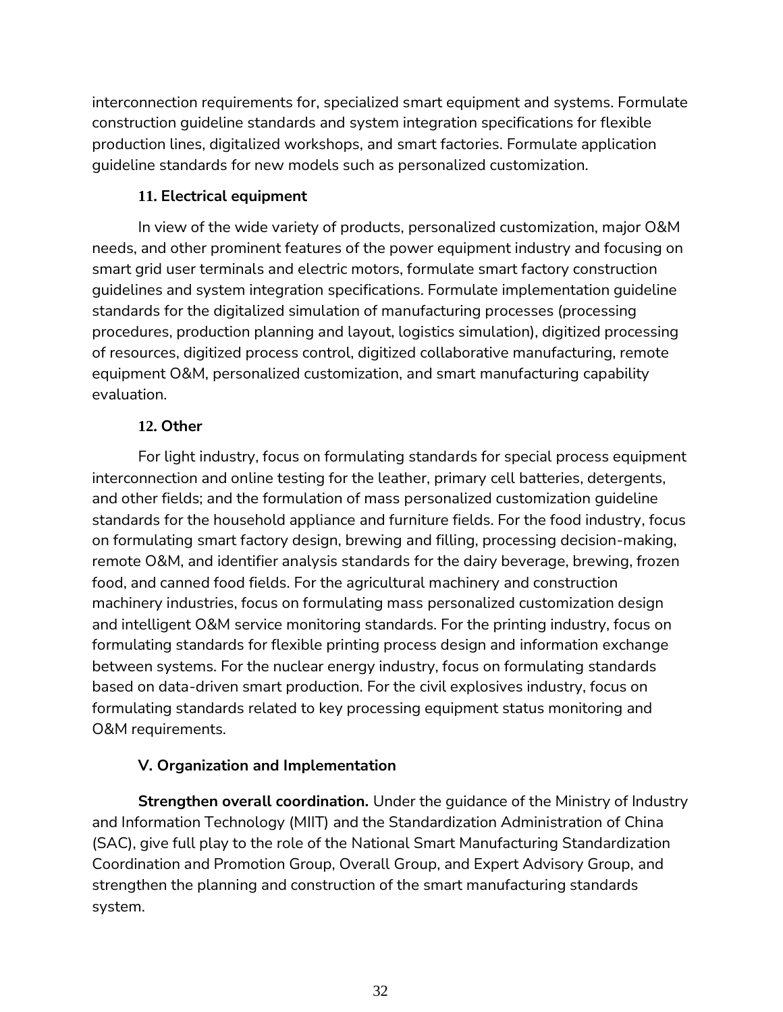interconnection requirements for, specialized smart equipment and systems. Formulate construction guideline standards and system integration specifications for flexible production lines, digitalized workshops, and smart factories. Formulate application guideline standards for new models such as personalized customization.

## **11. Electrical equipment**

In view of the wide variety of products, personalized customization, major O&M needs, and other prominent features of the power equipment industry and focusing on smart grid user terminals and electric motors, formulate smart factory construction guidelines and system integration specifications. Formulate implementation guideline standards for the digitalized simulation of manufacturing processes (processing procedures, production planning and layout, logistics simulation), digitized processing of resources, digitized process control, digitized collaborative manufacturing, remote equipment O&M, personalized customization, and smart manufacturing capability evaluation.

# **12. Other**

For light industry, focus on formulating standards for special process equipment interconnection and online testing for the leather, primary cell batteries, detergents, and other fields; and the formulation of mass personalized customization guideline standards for the household appliance and furniture fields. For the food industry, focus on formulating smart factory design, brewing and filling, processing decision-making, remote O&M, and identifier analysis standards for the dairy beverage, brewing, frozen food, and canned food fields. For the agricultural machinery and construction machinery industries, focus on formulating mass personalized customization design and intelligent O&M service monitoring standards. For the printing industry, focus on formulating standards for flexible printing process design and information exchange between systems. For the nuclear energy industry, focus on formulating standards based on data-driven smart production. For the civil explosives industry, focus on formulating standards related to key processing equipment status monitoring and O&M requirements.

# **V. Organization and Implementation**

<span id="page-33-0"></span>**Strengthen overall coordination.** Under the guidance of the Ministry of Industry and Information Technology (MIIT) and the Standardization Administration of China (SAC), give full play to the role of the National Smart Manufacturing Standardization Coordination and Promotion Group, Overall Group, and Expert Advisory Group, and strengthen the planning and construction of the smart manufacturing standards system.